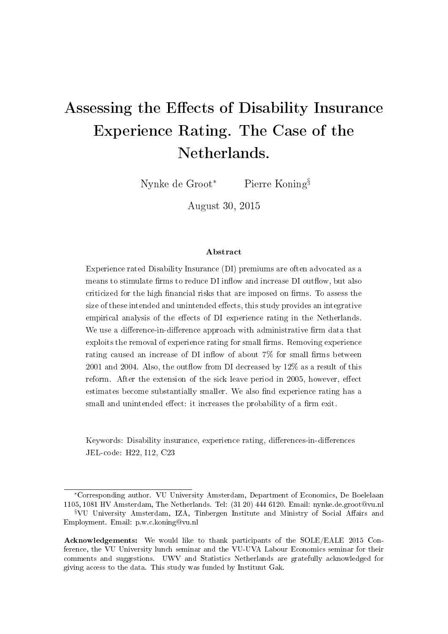# Assessing the Effects of Disability Insurance Experience Rating. The Case of the Netherlands.

Nynke de Groot<sup>∗</sup> Pierre Koning§

August 30, 2015

#### Abstract

Experience rated Disability Insurance (DI) premiums are often advocated as a means to stimulate firms to reduce DI inflow and increase DI outflow, but also criticized for the high financial risks that are imposed on firms. To assess the size of these intended and unintended effects, this study provides an integrative empirical analysis of the effects of DI experience rating in the Netherlands. We use a difference-in-difference approach with administrative firm data that exploits the removal of experience rating for small firms. Removing experience rating caused an increase of DI inflow of about  $7\%$  for small firms between  $2001$  and  $2004$ . Also, the outflow from DI decreased by  $12\%$  as a result of this reform. After the extension of the sick leave period in 2005, however, effect estimates become substantially smaller. We also find experience rating has a small and unintended effect: it increases the probability of a firm exit.

Keywords: Disability insurance, experience rating, differences-in-differences JEL-code: H22, I12, C23

<sup>∗</sup>Corresponding author. VU University Amsterdam, Department of Economics, De Boelelaan 1105, 1081 HV Amsterdam, The Netherlands. Tel: (31 20) 444 6120. Email: nynke.de.groot@vu.nl

<sup>&</sup>lt;sup>§</sup>VU University Amsterdam, IZA, Tinbergen Institute and Ministry of Social Affairs and Employment. Email: p.w.c.koning@vu.nl

Acknowledgements: We would like to thank participants of the SOLE/EALE 2015 Conference, the VU University lunch seminar and the VU-UVA Labour Economics seminar for their comments and suggestions. UWV and Statistics Netherlands are gratefully acknowledged for giving access to the data. This study was funded by Instituut Gak.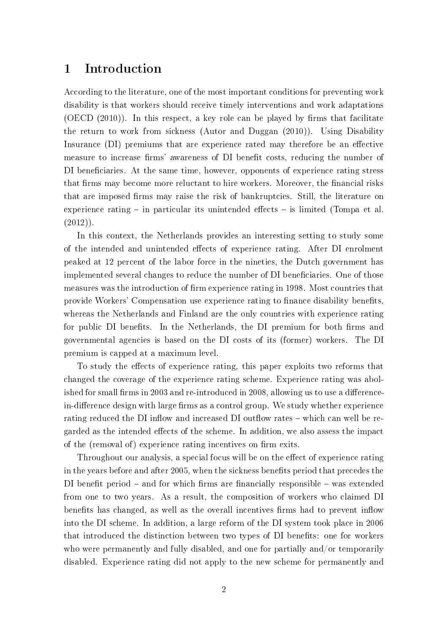## 1 Introduction

According to the literature, one of the most important conditions for preventing work disability is that workers should receive timely interventions and work adaptations  $(OECD (2010))$ . In this respect, a key role can be played by firms that facilitate the return to work from sickness (Autor and Duggan (2010)). Using Disability Insurance (DI) premiums that are experience rated may therefore be an effective measure to increase firms' awareness of DI benefit costs, reducing the number of DI beneficiaries. At the same time, however, opponents of experience rating stress that firms may become more reluctant to hire workers. Moreover, the financial risks that are imposed firms may raise the risk of bankruptcies. Still, the literature on experience rating  $-$  in particular its unintended effects  $-$  is limited (Tompa et al.  $(2012)$ ).

In this context, the Netherlands provides an interesting setting to study some of the intended and unintended effects of experience rating. After DI enrolment peaked at 12 percent of the labor force in the nineties, the Dutch government has implemented several changes to reduce the number of DI beneficiaries. One of those measures was the introduction of firm experience rating in 1998. Most countries that provide Workers' Compensation use experience rating to finance disability benefits. whereas the Netherlands and Finland are the only countries with experience rating for public DI benefits. In the Netherlands, the DI premium for both firms and governmental agencies is based on the DI costs of its (former) workers. The DI premium is capped at a maximum level.

To study the effects of experience rating, this paper exploits two reforms that changed the coverage of the experience rating scheme. Experience rating was abolished for small firms in 2003 and re-introduced in 2008, allowing us to use a differencein-difference design with large firms as a control group. We study whether experience rating reduced the DI inflow and increased DI outflow rates – which can well be regarded as the intended effects of the scheme. In addition, we also assess the impact of the (removal of) experience rating incentives on firm exits.

Throughout our analysis, a special focus will be on the effect of experience rating in the years before and after 2005, when the sickness benefits period that precedes the DI benefit period  $-$  and for which firms are financially responsible  $-$  was extended from one to two years. As a result, the composition of workers who claimed DI benefits has changed, as well as the overall incentives firms had to prevent inflow into the DI scheme. In addition, a large reform of the DI system took place in 2006 that introduced the distinction between two types of DI benets: one for workers who were permanently and fully disabled, and one for partially and/or temporarily disabled. Experience rating did not apply to the new scheme for permanently and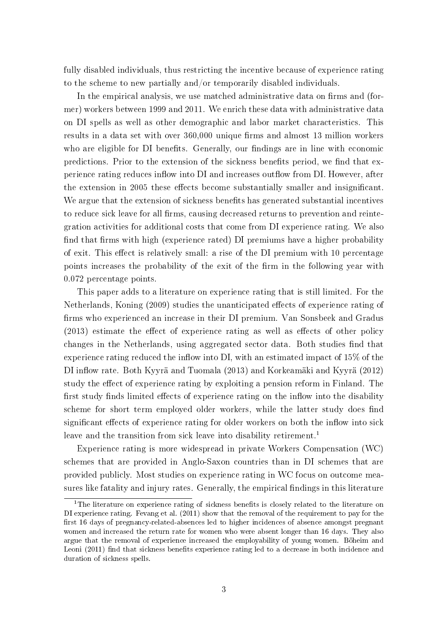fully disabled individuals, thus restricting the incentive because of experience rating to the scheme to new partially and/or temporarily disabled individuals.

In the empirical analysis, we use matched administrative data on firms and (former) workers between 1999 and 2011. We enrich these data with administrative data on DI spells as well as other demographic and labor market characteristics. This results in a data set with over 360,000 unique firms and almost 13 million workers who are eligible for DI benefits. Generally, our findings are in line with economic predictions. Prior to the extension of the sickness benefits period, we find that experience rating reduces inflow into DI and increases outflow from DI. However, after the extension in 2005 these effects become substantially smaller and insignificant. We argue that the extension of sickness benefits has generated substantial incentives to reduce sick leave for all firms, causing decreased returns to prevention and reintegration activities for additional costs that come from DI experience rating. We also find that firms with high (experience rated) DI premiums have a higher probability of exit. This effect is relatively small: a rise of the DI premium with 10 percentage points increases the probability of the exit of the firm in the following year with 0.072 percentage points.

This paper adds to a literature on experience rating that is still limited. For the Netherlands, Koning (2009) studies the unanticipated effects of experience rating of firms who experienced an increase in their DI premium. Van Sonsbeek and Gradus  $(2013)$  estimate the effect of experience rating as well as effects of other policy changes in the Netherlands, using aggregated sector data. Both studies find that experience rating reduced the inflow into DI, with an estimated impact of  $15\%$  of the DI inflow rate. Both Kyyrä and Tuomala (2013) and Korkeamäki and Kyyrä (2012) study the effect of experience rating by exploiting a pension reform in Finland. The first study finds limited effects of experience rating on the inflow into the disability scheme for short term employed older workers, while the latter study does find significant effects of experience rating for older workers on both the inflow into sick leave and the transition from sick leave into disability retirement.<sup>1</sup>

Experience rating is more widespread in private Workers Compensation (WC) schemes that are provided in Anglo-Saxon countries than in DI schemes that are provided publicly. Most studies on experience rating in WC focus on outcome measures like fatality and injury rates. Generally, the empirical findings in this literature

<sup>&</sup>lt;sup>1</sup>The literature on experience rating of sickness benefits is closely related to the literature on DI experience rating. Fevang et al. (2011) show that the removal of the requirement to pay for the first 16 days of pregnancy-related-absences led to higher incidences of absence amongst pregnant women and increased the return rate for women who were absent longer than 16 days. They also argue that the removal of experience increased the employability of young women. Böheim and Leoni (2011) find that sickness benefits experience rating led to a decrease in both incidence and duration of sickness spells.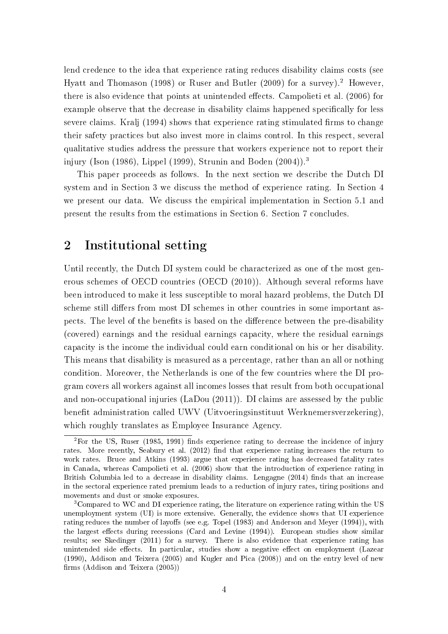lend credence to the idea that experience rating reduces disability claims costs (see Hyatt and Thomason (1998) or Ruser and Butler (2009) for a survey).<sup>2</sup> However there is also evidence that points at unintended effects. Campolieti et al. (2006) for example observe that the decrease in disability claims happened specifically for less severe claims. Kralj (1994) shows that experience rating stimulated firms to change their safety practices but also invest more in claims control. In this respect, several qualitative studies address the pressure that workers experience not to report their injury (Ison (1986), Lippel (1999), Strunin and Boden (2004)).<sup>3</sup>

This paper proceeds as follows. In the next section we describe the Dutch DI system and in Section 3 we discuss the method of experience rating. In Section 4 we present our data. We discuss the empirical implementation in Section 5.1 and present the results from the estimations in Section 6. Section 7 concludes.

## 2 Institutional setting

Until recently, the Dutch DI system could be characterized as one of the most generous schemes of OECD countries (OECD (2010)). Although several reforms have been introduced to make it less susceptible to moral hazard problems, the Dutch DI scheme still differs from most DI schemes in other countries in some important aspects. The level of the benefits is based on the difference between the pre-disability (covered) earnings and the residual earnings capacity, where the residual earnings capacity is the income the individual could earn conditional on his or her disability. This means that disability is measured as a percentage, rather than an all or nothing condition. Moreover, the Netherlands is one of the few countries where the DI program covers all workers against all incomes losses that result from both occupational and non-occupational injuries (LaDou (2011)). DI claims are assessed by the public benefit administration called UWV (Uitvoeringsinstituut Werknemersverzekering). which roughly translates as Employee Insurance Agency.

 $2F$ or the US, Ruser (1985, 1991) finds experience rating to decrease the incidence of injury rates. More recently, Seabury et al. (2012) find that experience rating increases the return to work rates. Bruce and Atkins (1993) argue that experience rating has decreased fatality rates in Canada, whereas Campolieti et al. (2006) show that the introduction of experience rating in British Columbia led to a decrease in disability claims. Lengagne  $(2014)$  finds that an increase in the sectoral experience rated premium leads to a reduction of injury rates, tiring positions and movements and dust or smoke exposures.

<sup>3</sup>Compared to WC and DI experience rating, the literature on experience rating within the US unemployment system (UI) is more extensive. Generally, the evidence shows that UI experience rating reduces the number of layoffs (see e.g. Topel  $(1983)$  and Anderson and Meyer  $(1994)$ ), with the largest effects during recessions (Card and Levine  $(1994)$ ). European studies show similar results; see Skedinger (2011) for a survey. There is also evidence that experience rating has unintended side effects. In particular, studies show a negative effect on employment (Lazear (1990), Addison and Teixera (2005) and Kugler and Pica (2008)) and on the entry level of new firms  $(Addison and Teixera (2005))$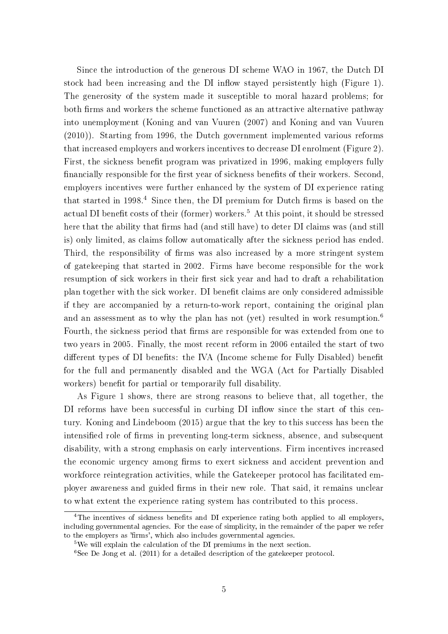Since the introduction of the generous DI scheme WAO in 1967, the Dutch DI stock had been increasing and the DI inflow stayed persistently high (Figure 1). The generosity of the system made it susceptible to moral hazard problems; for both firms and workers the scheme functioned as an attractive alternative pathway into unemployment (Koning and van Vuuren (2007) and Koning and van Vuuren (2010)). Starting from 1996, the Dutch government implemented various reforms that increased employers and workers incentives to decrease DI enrolment (Figure 2). First, the sickness benefit program was privatized in 1996, making employers fully financially responsible for the first year of sickness benefits of their workers. Second, employers incentives were further enhanced by the system of DI experience rating that started in  $1998<sup>4</sup>$  Since then, the DI premium for Dutch firms is based on the actual DI benefit costs of their (former) workers.<sup>5</sup> At this point, it should be stressed here that the ability that firms had (and still have) to deter DI claims was (and still is) only limited, as claims follow automatically after the sickness period has ended. Third, the responsibility of firms was also increased by a more stringent system of gatekeeping that started in 2002. Firms have become responsible for the work resumption of sick workers in their first sick year and had to draft a rehabilitation plan together with the sick worker. DI benefit claims are only considered admissible if they are accompanied by a return-to-work report, containing the original plan and an assessment as to why the plan has not (yet) resulted in work resumption.<sup>6</sup> Fourth, the sickness period that firms are responsible for was extended from one to two years in 2005. Finally, the most recent reform in 2006 entailed the start of two different types of DI benefits: the IVA (Income scheme for Fully Disabled) benefit for the full and permanently disabled and the WGA (Act for Partially Disabled workers) benefit for partial or temporarily full disability.

As Figure 1 shows, there are strong reasons to believe that, all together, the DI reforms have been successful in curbing DI inflow since the start of this century. Koning and Lindeboom (2015) argue that the key to this success has been the intensified role of firms in preventing long-term sickness, absence, and subsequent disability, with a strong emphasis on early interventions. Firm incentives increased the economic urgency among firms to exert sickness and accident prevention and workforce reintegration activities, while the Gatekeeper protocol has facilitated employer awareness and guided firms in their new role. That said, it remains unclear to what extent the experience rating system has contributed to this process.

<sup>&</sup>lt;sup>4</sup>The incentives of sickness benefits and DI experience rating both applied to all employers, including governmental agencies. For the ease of simplicity, in the remainder of the paper we refer to the employers as 'firms', which also includes governmental agencies.

<sup>5</sup>We will explain the calculation of the DI premiums in the next section.

<sup>&</sup>lt;sup>6</sup>See De Jong et al. (2011) for a detailed description of the gatekeeper protocol.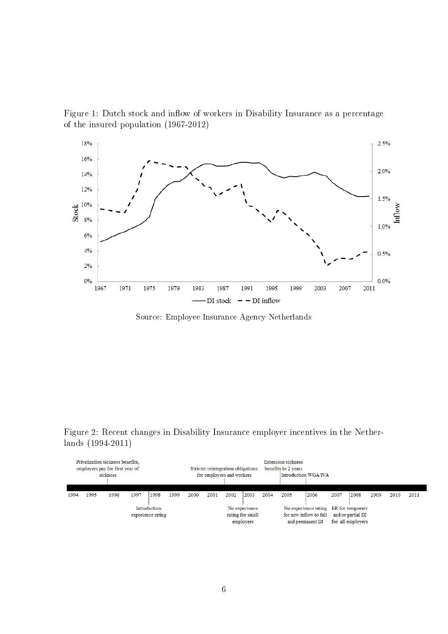Figure 1: Dutch stock and inflow of workers in Disability Insurance as a percentage of the insured population (1967-2012)



Source: Employee Insurance Agency Netherlands

Figure 2: Recent changes in Disability Insurance employer incentives in the Netherlands (1994-2011)

| Privatization sickness benefits.<br>employers pay for first year of<br>sickness |      |      |                                                |      |      | <b>Extension sickness</b><br>Stricter reintegration obligations<br>benefits to 2 years<br>for employers and workers<br>Introduction WGA/IVA |                                                                                     |      |                                        |      |      |      |      |      |      |      |      |
|---------------------------------------------------------------------------------|------|------|------------------------------------------------|------|------|---------------------------------------------------------------------------------------------------------------------------------------------|-------------------------------------------------------------------------------------|------|----------------------------------------|------|------|------|------|------|------|------|------|
| 1994                                                                            | 1995 | 1996 | 1997                                           | 1998 | 1999 | 2000                                                                                                                                        | 2001                                                                                | 2002 | 2003                                   | 2004 | 2005 | 2006 | 2007 | 2008 | 2009 | 2010 | 2011 |
| Introduction<br>experience rating                                               |      |      | No experience<br>rating for small<br>employers |      |      |                                                                                                                                             | No experience rating ER for temporary<br>for new inflow to full<br>and permanent DI |      | and/or partial DI<br>for all employers |      |      |      |      |      |      |      |      |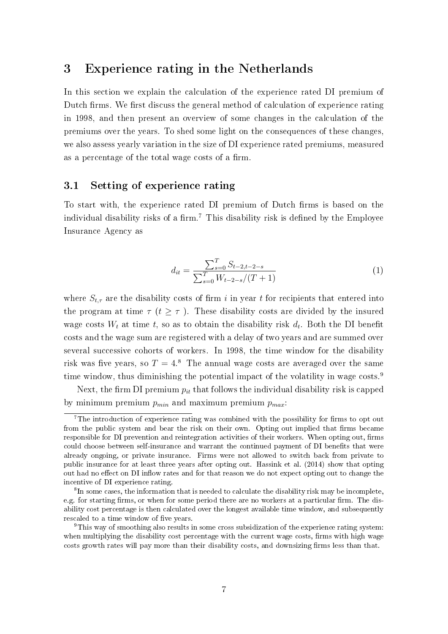# 3 Experience rating in the Netherlands

In this section we explain the calculation of the experience rated DI premium of Dutch firms. We first discuss the general method of calculation of experience rating in 1998, and then present an overview of some changes in the calculation of the premiums over the years. To shed some light on the consequences of these changes, we also assess yearly variation in the size of DI experience rated premiums, measured as a percentage of the total wage costs of a firm.

#### 3.1 Setting of experience rating

To start with, the experience rated DI premium of Dutch firms is based on the individual disability risks of a firm.<sup>7</sup> This disability risk is defined by the Employee Insurance Agency as

$$
d_{it} = \frac{\sum_{s=0}^{T} S_{t-2,t-2-s}}{\sum_{s=0}^{T} W_{t-2-s}/(T+1)}
$$
(1)

where  $S_{t,\tau}$  are the disability costs of firm i in year t for recipients that entered into the program at time  $\tau$  ( $t \geq \tau$ ). These disability costs are divided by the insured wage costs  $W_t$  at time t, so as to obtain the disability risk  $d_t$ . Both the DI benefit costs and the wage sum are registered with a delay of two years and are summed over several successive cohorts of workers. In 1998, the time window for the disability risk was five years, so  $T = 4.8$  The annual wage costs are averaged over the same time window, thus diminishing the potential impact of the volatility in wage costs.<sup>9</sup>

Next, the firm DI premium  $p_{it}$  that follows the individual disability risk is capped by minimum premium  $p_{min}$  and maximum premium  $p_{max}$ :

 $7$ The introduction of experience rating was combined with the possibility for firms to opt out from the public system and bear the risk on their own. Opting out implied that firms became responsible for DI prevention and reintegration activities of their workers. When opting out, firms could choose between self-insurance and warrant the continued payment of DI benefits that were already ongoing, or private insurance. Firms were not allowed to switch back from private to public insurance for at least three years after opting out. Hassink et al. (2014) show that opting out had no effect on DI inflow rates and for that reason we do not expect opting out to change the incentive of DI experience rating.

<sup>&</sup>lt;sup>8</sup>In some cases, the information that is needed to calculate the disability risk may be incomplete, e.g. for starting firms, or when for some period there are no workers at a particular firm. The disability cost percentage is then calculated over the longest available time window, and subsequently rescaled to a time window of five years.

<sup>9</sup>This way of smoothing also results in some cross subsidization of the experience rating system: when multiplying the disability cost percentage with the current wage costs, firms with high wage costs growth rates will pay more than their disability costs, and downsizing firms less than that.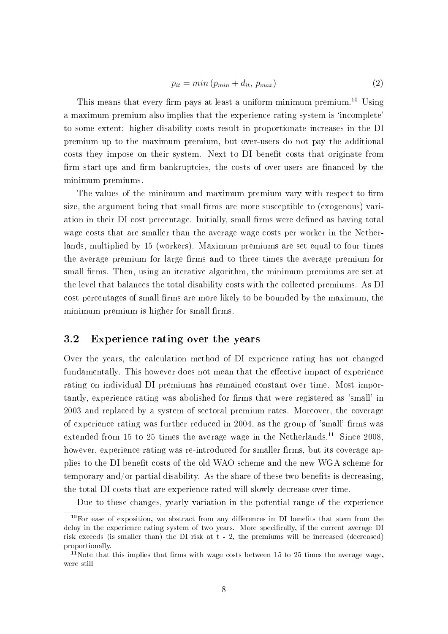$$
p_{it} = min(p_{min} + d_{it}, p_{max})
$$
\n(2)

This means that every firm pays at least a uniform minimum premium.<sup>10</sup> Using a maximum premium also implies that the experience rating system is 'incomplete' to some extent: higher disability costs result in proportionate increases in the DI premium up to the maximum premium, but over-users do not pay the additional costs they impose on their system. Next to DI benefit costs that originate from firm start-ups and firm bankruptcies, the costs of over-users are financed by the minimum premiums.

The values of the minimum and maximum premium vary with respect to firm size, the argument being that small firms are more susceptible to (exogenous) variation in their DI cost percentage. Initially, small firms were defined as having total wage costs that are smaller than the average wage costs per worker in the Netherlands, multiplied by 15 (workers). Maximum premiums are set equal to four times the average premium for large firms and to three times the average premium for small firms. Then, using an iterative algorithm, the minimum premiums are set at the level that balances the total disability costs with the collected premiums. As DI cost percentages of small firms are more likely to be bounded by the maximum, the minimum premium is higher for small firms.

#### 3.2 Experience rating over the years

Over the years, the calculation method of DI experience rating has not changed fundamentally. This however does not mean that the effective impact of experience rating on individual DI premiums has remained constant over time. Most importantly, experience rating was abolished for firms that were registered as 'small' in 2003 and replaced by a system of sectoral premium rates. Moreover, the coverage of experience rating was further reduced in 2004, as the group of 'small' firms was extended from 15 to 25 times the average wage in the Netherlands.<sup>11</sup> Since 2008. however, experience rating was re-introduced for smaller firms, but its coverage applies to the DI benefit costs of the old WAO scheme and the new WGA scheme for temporary and/or partial disability. As the share of these two benefits is decreasing, the total DI costs that are experience rated will slowly decrease over time.

Due to these changes, yearly variation in the potential range of the experience

 $10$ For ease of exposition, we abstract from any differences in DI benefits that stem from the delay in the experience rating system of two years. More specifically, if the current average DI risk exceeds (is smaller than) the DI risk at t - 2, the premiums will be increased (decreased) proportionally.

<sup>&</sup>lt;sup>11</sup>Note that this implies that firms with wage costs between 15 to 25 times the average wage, were still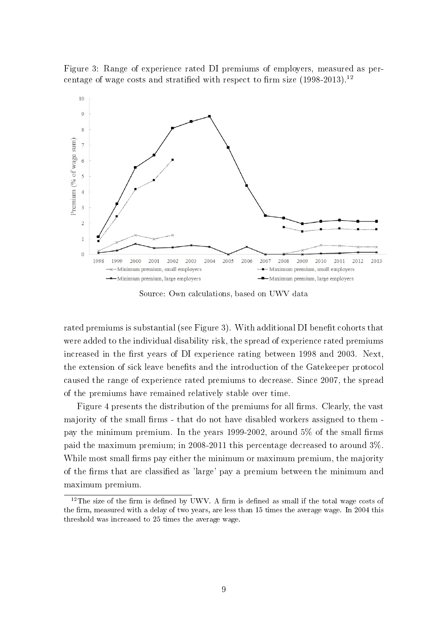Figure 3: Range of experience rated DI premiums of employers, measured as percentage of wage costs and stratified with respect to firm size  $(1998-2013).<sup>12</sup>$ 



Source: Own calculations, based on UWV data

rated premiums is substantial (see Figure 3). With additional DI benefit cohorts that were added to the individual disability risk, the spread of experience rated premiums increased in the first years of DI experience rating between 1998 and 2003. Next, the extension of sick leave benefits and the introduction of the Gatekeeper protocol caused the range of experience rated premiums to decrease. Since 2007, the spread of the premiums have remained relatively stable over time.

Figure 4 presents the distribution of the premiums for all firms. Clearly, the vast majority of the small firms - that do not have disabled workers assigned to them pay the minimum premium. In the years 1999-2002, around  $5\%$  of the small firms paid the maximum premium; in 2008-2011 this percentage decreased to around 3%. While most small firms pay either the minimum or maximum premium, the majority of the rms that are classied as 'large' pay a premium between the minimum and maximum premium.

 $12$ The size of the firm is defined by UWV. A firm is defined as small if the total wage costs of the firm, measured with a delay of two years, are less than 15 times the average wage. In 2004 this threshold was increased to 25 times the average wage.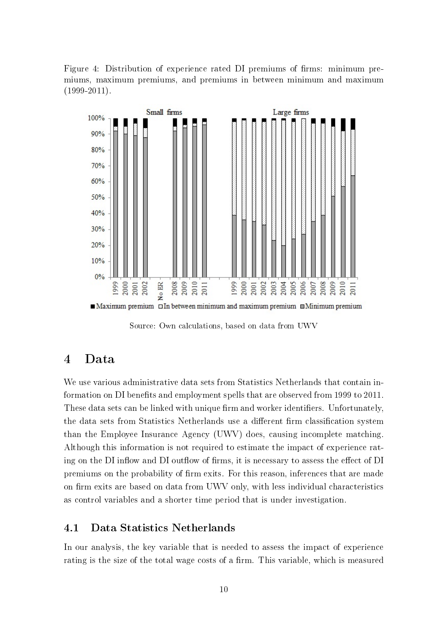Figure 4: Distribution of experience rated DI premiums of firms: minimum premiums, maximum premiums, and premiums in between minimum and maximum  $(1999-2011).$ 



Source: Own calculations, based on data from UWV

## 4 Data

We use various administrative data sets from Statistics Netherlands that contain information on DI benefits and employment spells that are observed from 1999 to 2011 These data sets can be linked with unique firm and worker identifiers. Unfortunately, the data sets from Statistics Netherlands use a different firm classification system than the Employee Insurance Agency (UWV) does, causing incomplete matching. Although this information is not required to estimate the impact of experience rating on the DI inflow and DI outflow of firms, it is necessary to assess the effect of DI premiums on the probability of firm exits. For this reason, inferences that are made on firm exits are based on data from UWV only, with less individual characteristics as control variables and a shorter time period that is under investigation.

## 4.1 Data Statistics Netherlands

In our analysis, the key variable that is needed to assess the impact of experience rating is the size of the total wage costs of a firm. This variable, which is measured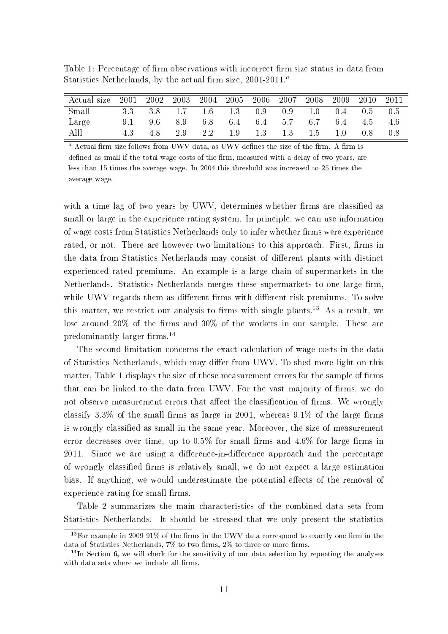| Table 1: Percentage of firm observations with incorrect firm size status in data from |  |
|---------------------------------------------------------------------------------------|--|
| Statistics Netherlands, by the actual firm size, $2001-2011.^a$                       |  |

| Actual size 2001 2002 2003 2004 2005 2006 |  |                                             |  | 2007 2008 | 2009 | 2010 2011 |  |
|-------------------------------------------|--|---------------------------------------------|--|-----------|------|-----------|--|
| Small                                     |  | 3.3 3.8 1.7 1.6 1.3 0.9 0.9 1.0 0.4 0.5 0.5 |  |           |      |           |  |
| Large                                     |  | 9.1 9.6 8.9 6.8 6.4 6.4 5.7 6.7 6.4 4.5 4.6 |  |           |      |           |  |
| Alll                                      |  | 4.3 4.8 2.9 2.2 1.9 1.3 1.3 1.5 1.0 0.8 0.8 |  |           |      |           |  |

 $a$  Actual firm size follows from UWV data, as UWV defines the size of the firm. A firm is defined as small if the total wage costs of the firm, measured with a delay of two years, are less than 15 times the average wage. In 2004 this threshold was increased to 25 times the average wage.

with a time lag of two years by UWV, determines whether firms are classified as small or large in the experience rating system. In principle, we can use information of wage costs from Statistics Netherlands only to infer whether firms were experience rated, or not. There are however two limitations to this approach. First, firms in the data from Statistics Netherlands may consist of different plants with distinct experienced rated premiums. An example is a large chain of supermarkets in the Netherlands. Statistics Netherlands merges these supermarkets to one large firm while UWV regards them as different firms with different risk premiums. To solve this matter, we restrict our analysis to firms with single plants.<sup>13</sup> As a result, we lose around  $20\%$  of the firms and  $30\%$  of the workers in our sample. These are predominantly larger firms.<sup>14</sup>

The second limitation concerns the exact calculation of wage costs in the data of Statistics Netherlands, which may differ from UWV. To shed more light on this matter, Table 1 displays the size of these measurement errors for the sample of firms that can be linked to the data from UWV. For the vast majority of firms, we do not observe measurement errors that affect the classification of firms. We wrongly classify 3.3% of the small firms as large in 2001, whereas  $9.1\%$  of the large firms is wrongly classified as small in the same year. Moreover, the size of measurement error decreases over time, up to  $0.5\%$  for small firms and  $4.6\%$  for large firms in 2011. Since we are using a difference-in-difference approach and the percentage of wrongly classified firms is relatively small, we do not expect a large estimation bias. If anything, we would underestimate the potential effects of the removal of experience rating for small firms.

Table 2 summarizes the main characteristics of the combined data sets from Statistics Netherlands. It should be stressed that we only present the statistics

 $13$ For example in 2009 91% of the firms in the UWV data correspond to exactly one firm in the data of Statistics Netherlands,  $7\%$  to two firms,  $2\%$  to three or more firms.

 $14$ In Section 6, we will check for the sensitivity of our data selection by repeating the analyses with data sets where we include all firms.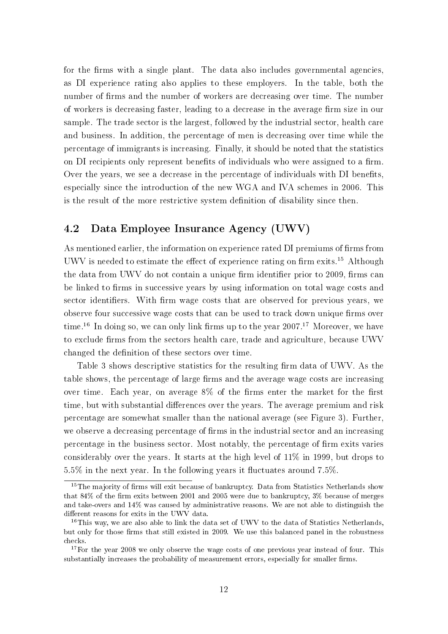for the firms with a single plant. The data also includes governmental agencies, as DI experience rating also applies to these employers. In the table, both the number of firms and the number of workers are decreasing over time. The number of workers is decreasing faster, leading to a decrease in the average firm size in our sample. The trade sector is the largest, followed by the industrial sector, health care and business. In addition, the percentage of men is decreasing over time while the percentage of immigrants is increasing. Finally, it should be noted that the statistics on DI recipients only represent benefits of individuals who were assigned to a firm. Over the years, we see a decrease in the percentage of individuals with DI benefits, especially since the introduction of the new WGA and IVA schemes in 2006. This is the result of the more restrictive system definition of disability since then.

## 4.2 Data Employee Insurance Agency (UWV)

As mentioned earlier, the information on experience rated DI premiums of firms from UWV is needed to estimate the effect of experience rating on firm exits.<sup>15</sup> Although the data from UWV do not contain a unique firm identifier prior to 2009, firms can be linked to firms in successive years by using information on total wage costs and sector identifiers. With firm wage costs that are observed for previous years, we observe four successive wage costs that can be used to track down unique firms over time.<sup>16</sup> In doing so, we can only link firms up to the year  $2007$ <sup>17</sup> Moreover, we have to exclude firms from the sectors health care, trade and agriculture, because UWV changed the definition of these sectors over time.

Table 3 shows descriptive statistics for the resulting firm data of UWV. As the table shows, the percentage of large firms and the average wage costs are increasing over time. Each year, on average  $8\%$  of the firms enter the market for the first time, but with substantial differences over the years. The average premium and risk percentage are somewhat smaller than the national average (see Figure 3). Further, we observe a decreasing percentage of firms in the industrial sector and an increasing percentage in the business sector. Most notably, the percentage of firm exits varies considerably over the years. It starts at the high level of 11% in 1999, but drops to  $5.5\%$  in the next year. In the following years it fluctuates around 7.5%.

 $15$ The majority of firms will exit because of bankruptcy. Data from Statistics Netherlands show that 84% of the firm exits between 2001 and 2005 were due to bankruptcy, 3% because of merges and take-overs and 14% was caused by administrative reasons. We are not able to distinguish the different reasons for exits in the UWV data.

 $16$ This way, we are also able to link the data set of UWV to the data of Statistics Netherlands, but only for those firms that still existed in 2009. We use this balanced panel in the robustness checks.

 $17$  For the year 2008 we only observe the wage costs of one previous year instead of four. This substantially increases the probability of measurement errors, especially for smaller firms.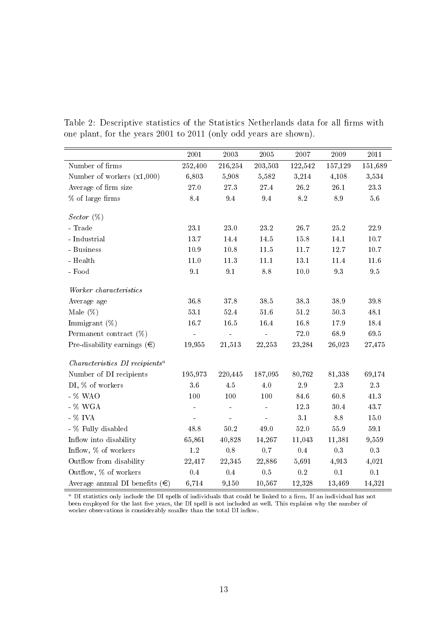|                                            | 2001         | 2003         | 2005         | 2007      | 2009            | 2011                 |
|--------------------------------------------|--------------|--------------|--------------|-----------|-----------------|----------------------|
| Number of firms                            | 252,400      | 216,254      | 203,503      | 122,542   | 157,129         | 151,689              |
| Number of workers $(x1,000)$               | 6,803        | 5,908        | 5,582        | 3,214     | 4,108           | 3,534                |
| Average of firm size                       | $27\;0$      | $2\,7.3$     | 27.4         | 26.2      | $26.1\,$        | $23.3\,$             |
| $%$ of large firms                         | 8.4          | 9.4          | 9.4          | $8.2\,$   | $8.9\,$         | $5.6\,$              |
|                                            |              |              |              |           |                 |                      |
| <i>Sector</i> $(\%)$<br>- Trade            |              |              |              |           |                 |                      |
|                                            | 23.1<br>13.7 | 23.0<br>14.4 | 23.2<br>14.5 | 26.7      | $25.2\,$        | $22.9\,$<br>$10.7\,$ |
| - Industrial                               |              |              |              | 15.8      | 14.1            |                      |
| - Business                                 | 10.9         | $10.8\,$     | $11.5\,$     | $11.7\,$  | 12.7            | $10.7\,$             |
| - $Health$                                 | $11.0$       | 11.3         | 11.1         | $13.1\,$  | $11.4\,$        | $11.6\,$             |
| - Food                                     | $9.1\,$      | 9.1          | 8.8          | $10.0\,$  | $9.3\,$         | $9.5\,$              |
| Worker characteristics                     |              |              |              |           |                 |                      |
| Average age                                | 36.8         | 378          | 38.5         | 38.3      | 38.9            | $39.8\,$             |
| Male $(\%)$                                | $53.1\,$     | $52.4\,$     | 51.6         | $51.2\,$  | $50.3\,$        | 48.1                 |
| Immigrant $(\%)$                           | $16.7\,$     | $16.5\,$     | 16.4         | $16.8\,$  | 17.9            | 18.4                 |
| Permanent contract $(\%)$                  |              |              |              | $72.0\,$  | 68.9            | $69.5\,$             |
| Pre-disability earnings $(\in)$            | 19,955       | 21,513       | 22,253       | 23,284    | 26,023          | 27,475               |
| Characteristics DI recipients <sup>a</sup> |              |              |              |           |                 |                      |
| Number of DI recipients                    | 195,973      | 220,445      | 187,095      | 80,762    | 81,338          | 69,174               |
| DI, % of workers                           | 3.6          | 4.5          | 4.0          | $2.9\,$   | $2.3\,$         | $2.3\,$              |
| - % WAO                                    | 100          | 100          | 100          | 84.6      | 60.8            | $41.3\,$             |
| - $\%$ WGA                                 |              |              |              | 12.3      | 30.4            | 43.7                 |
| - $\%$ IVA                                 |              | ÷            | ä,           | 3.1       | $\!\!\!\!\!8.8$ | $15.0\,$             |
| - % Fully disabled                         | 48.8         | $50.2\,$     | 49.0         | $52.0\,$  | $55.9\,$        | $59.1\,$             |
| Inflow into disability                     | 65,861       | 40,828       | 14,267       | 11,043    | 11,381          | 9,559                |
| Inflow, % of workers                       | $1.2\,$      | 0.8          | 0.7          | $\rm 0.4$ | $0.3\,$         | $0.3\,$              |
| Outflow from disability                    | 22,417       | 22,345       | 22,886       | 5,691     | 4,913           | 4,021                |
| Outflow, % of workers                      | 0.4          | 0.4          | 0.5          | $\rm 0.2$ | $0.1\,$         | $0.1\,$              |
| Average annual DI benefits $(\epsilon)$    | 6,714        | 9,150        | 10,567       | 12,328    | 13,469          | 14,321               |

Table 2: Descriptive statistics of the Statistics Netherlands data for all firms with one plant, for the years 2001 to 2011 (only odd years are shown).

 $\,^a$  DI statistics only include the DI spells of individuals that could be linked to a firm. If an individual has not been employed for the last five years, the DI spell is not included as well. This explains why the number of worker observations is considerably smaller than the total DI inflow.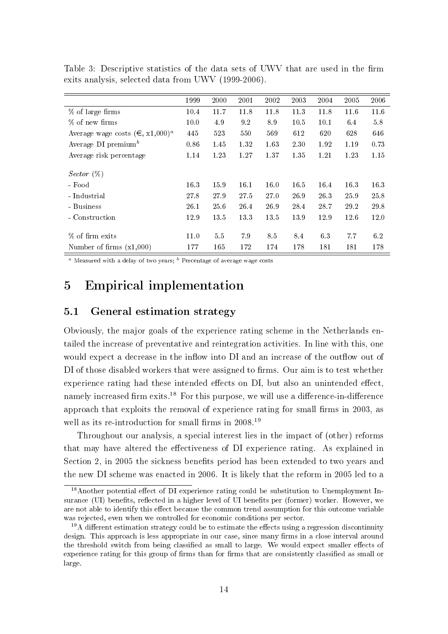|                                           | 1999 | 2000 | 2001 | 2002 | 2003 | 2004 | 2005 | 2006 |
|-------------------------------------------|------|------|------|------|------|------|------|------|
| % of large firms                          | 10.4 | 11.7 | 11.8 | 11.8 | 11.3 | 11.8 | 11.6 | 11.6 |
| % of new firms                            | 10.0 | 4.9  | 9.2  | 89   | 10.5 | 10.1 | 6.4  | 5.8  |
| Average wage costs $(\epsilon, x1,000)^a$ | 445  | 523  | 550  | 569  | 612  | 620  | 628  | 646  |
| Average DI premium <sup>b</sup>           | 0.86 | 1.45 | 1.32 | 1.63 | 2.30 | 1.92 | 1.19 | 0.73 |
| Average risk percentage                   | 1.14 | 1.23 | 1.27 | 1.37 | 1.35 | 1.21 | 1.23 | 1.15 |
|                                           |      |      |      |      |      |      |      |      |
| <i>Sector</i> $(\%)$                      |      |      |      |      |      |      |      |      |
| - Food                                    | 16.3 | 15.9 | 16.1 | 16.0 | 16.5 | 16.4 | 16.3 | 16.3 |
| - Industrial                              | 27.8 | 27.9 | 27.5 | 27.0 | 26.9 | 26.3 | 25.9 | 25.8 |
| - Business                                | 26.1 | 25.6 | 26.4 | 26.9 | 28.4 | 28.7 | 29.2 | 29.8 |
| - Construction                            | 12.9 | 13.5 | 13.3 | 13.5 | 13.9 | 12.9 | 12.6 | 12.0 |
|                                           |      |      |      |      |      |      |      |      |
| % of firm exits                           | 11.0 | 5.5  | 7.9  | 8.5  | 8.4  | 6.3  | 7.7  | 6.2  |
| Number of firms $(x1,000)$                | 177  | 165  | 172  | 174  | 178  | 181  | 181  | 178  |

Table 3: Descriptive statistics of the data sets of UWV that are used in the firm exits analysis, selected data from UWV (1999-2006).

<sup>a</sup> Measured with a delay of two years;  $\frac{b}{b}$  Percentage of average wage costs

# 5 Empirical implementation

## 5.1 General estimation strategy

Obviously, the major goals of the experience rating scheme in the Netherlands entailed the increase of preventative and reintegration activities. In line with this, one would expect a decrease in the inflow into DI and an increase of the outflow out of DI of those disabled workers that were assigned to firms. Our aim is to test whether experience rating had these intended effects on DI, but also an unintended effect, namely increased firm exits.<sup>18</sup> For this purpose, we will use a difference-in-difference approach that exploits the removal of experience rating for small firms in 2003, as well as its re-introduction for small firms in  $2008<sup>19</sup>$ 

Throughout our analysis, a special interest lies in the impact of (other) reforms that may have altered the effectiveness of DI experience rating. As explained in Section 2, in 2005 the sickness benets period has been extended to two years and the new DI scheme was enacted in 2006. It is likely that the reform in 2005 led to a

 $18$ Another potential effect of DI experience rating could be substitution to Unemployment Insurance (UI) benefits, reflected in a higher level of UI benefits per (former) worker. However, we are not able to identify this effect because the common trend assumption for this outcome variable was rejected, even when we controlled for economic conditions per sector.

 $19A$  different estimation strategy could be to estimate the effects using a regression discontinuity design. This approach is less appropriate in our case, since many firms in a close interval around the threshold switch from being classified as small to large. We would expect smaller effects of experience rating for this group of firms than for firms that are consistently classified as small or large.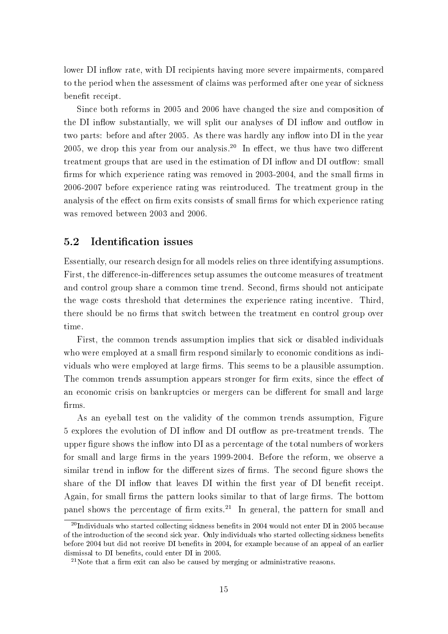lower DI inflow rate, with DI recipients having more severe impairments, compared to the period when the assessment of claims was performed after one year of sickness benefit receipt.

Since both reforms in 2005 and 2006 have changed the size and composition of the DI inflow substantially, we will split our analyses of DI inflow and outflow in two parts: before and after 2005. As there was hardly any inflow into DI in the year 2005, we drop this year from our analysis.<sup>20</sup> In effect, we thus have two different treatment groups that are used in the estimation of DI inflow and DI outflow: small firms for which experience rating was removed in 2003-2004, and the small firms in 2006-2007 before experience rating was reintroduced. The treatment group in the analysis of the effect on firm exits consists of small firms for which experience rating was removed between 2003 and 2006.

## 5.2 Identification issues

Essentially, our research design for all models relies on three identifying assumptions. First, the difference-in-differences setup assumes the outcome measures of treatment and control group share a common time trend. Second, firms should not anticipate the wage costs threshold that determines the experience rating incentive. Third, there should be no firms that switch between the treatment en control group over time.

First, the common trends assumption implies that sick or disabled individuals who were employed at a small firm respond similarly to economic conditions as individuals who were employed at large firms. This seems to be a plausible assumption. The common trends assumption appears stronger for firm exits, since the effect of an economic crisis on bankruptcies or mergers can be different for small and large firms.

As an eyeball test on the validity of the common trends assumption, Figure 5 explores the evolution of DI inflow and DI outflow as pre-treatment trends. The upper figure shows the inflow into  $DI$  as a percentage of the total numbers of workers for small and large firms in the years 1999-2004. Before the reform, we observe a similar trend in inflow for the different sizes of firms. The second figure shows the share of the DI inflow that leaves DI within the first year of DI benefit receipt. Again, for small firms the pattern looks similar to that of large firms. The bottom panel shows the percentage of firm exits.<sup>21</sup> In general, the pattern for small and

<sup>&</sup>lt;sup>20</sup>Individuals who started collecting sickness benefits in 2004 would not enter DI in 2005 because of the introduction of the second sick year. Only individuals who started collecting sickness benets before 2004 but did not receive DI benets in 2004, for example because of an appeal of an earlier dismissal to DI benefits, could enter DI in 2005.

<sup>&</sup>lt;sup>21</sup>Note that a firm exit can also be caused by merging or administrative reasons.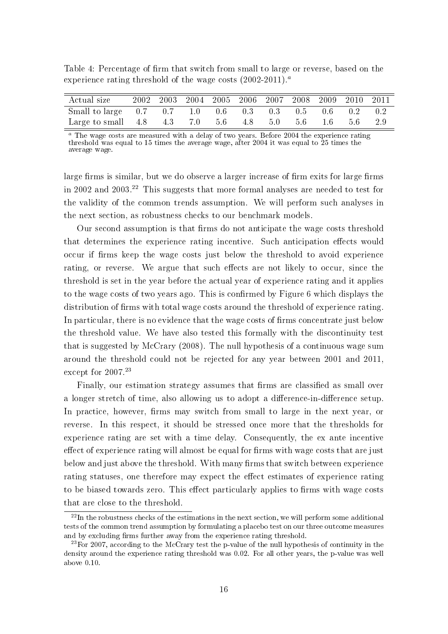| Actual size                                                                |  | 2002 2003 2004 2005 2006 2007 2008 2009 2010 2011 |  |  |  |  |
|----------------------------------------------------------------------------|--|---------------------------------------------------|--|--|--|--|
| Small to large 0.7 0.7 1.0 0.6 0.3 0.3 0.5 0.6 0.2 0.2                     |  |                                                   |  |  |  |  |
| Large to small $4.8$ $4.3$ $7.0$ $5.6$ $4.8$ $5.0$ $5.6$ $1.6$ $5.6$ $2.9$ |  |                                                   |  |  |  |  |

Table 4: Percentage of firm that switch from small to large or reverse, based on the experience rating threshold of the wage costs  $(2002-2011).<sup>a</sup>$ 

 $a$  The wage costs are measured with a delay of two years. Before 2004 the experience rating threshold was equal to 15 times the average wage, after 2004 it was equal to 25 times the average wage.

large firms is similar, but we do observe a larger increase of firm exits for large firms in 2002 and 2003.<sup>22</sup> This suggests that more formal analyses are needed to test for the validity of the common trends assumption. We will perform such analyses in the next section, as robustness checks to our benchmark models.

Our second assumption is that firms do not anticipate the wage costs threshold that determines the experience rating incentive. Such anticipation effects would occur if firms keep the wage costs just below the threshold to avoid experience rating, or reverse. We argue that such effects are not likely to occur, since the threshold is set in the year before the actual year of experience rating and it applies to the wage costs of two years ago. This is confirmed by Figure 6 which displays the distribution of firms with total wage costs around the threshold of experience rating. In particular, there is no evidence that the wage costs of firms concentrate just below the threshold value. We have also tested this formally with the discontinuity test that is suggested by McCrary (2008). The null hypothesis of a continuous wage sum around the threshold could not be rejected for any year between 2001 and 2011, except for 2007.<sup>23</sup>

Finally, our estimation strategy assumes that firms are classified as small over a longer stretch of time, also allowing us to adopt a difference-in-difference setup. In practice, however, firms may switch from small to large in the next year, or reverse. In this respect, it should be stressed once more that the thresholds for experience rating are set with a time delay. Consequently, the ex ante incentive effect of experience rating will almost be equal for firms with wage costs that are just below and just above the threshold. With many firms that switch between experience rating statuses, one therefore may expect the effect estimates of experience rating to be biased towards zero. This effect particularly applies to firms with wage costs that are close to the threshold.

 $22$ In the robustness checks of the estimations in the next section, we will perform some additional tests of the common trend assumption by formulating a placebo test on our three outcome measures and by excluding firms further away from the experience rating threshold.

<sup>&</sup>lt;sup>23</sup>For 2007, according to the McCrary test the p-value of the null hypothesis of continuity in the density around the experience rating threshold was 0.02. For all other years, the p-value was well above 0.10.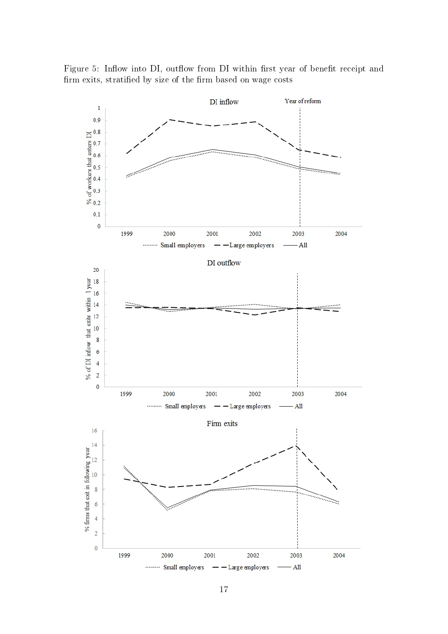Figure 5: Inflow into DI, outflow from DI within first year of benefit receipt and firm exits, stratified by size of the firm based on wage costs

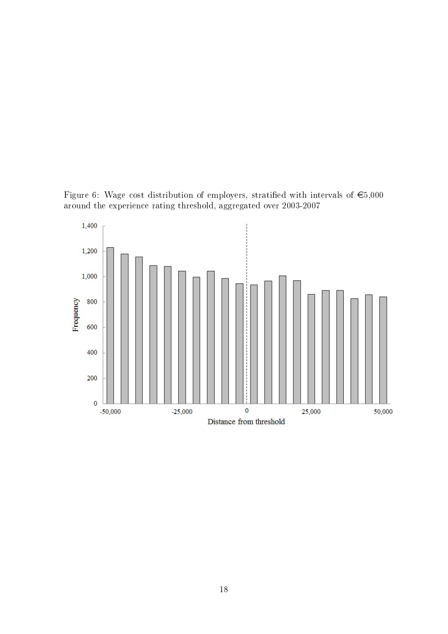Figure 6: Wage cost distribution of employers, stratified with intervals of  $\epsilon$ 5,000 around the experience rating threshold, aggregated over 2003-2007

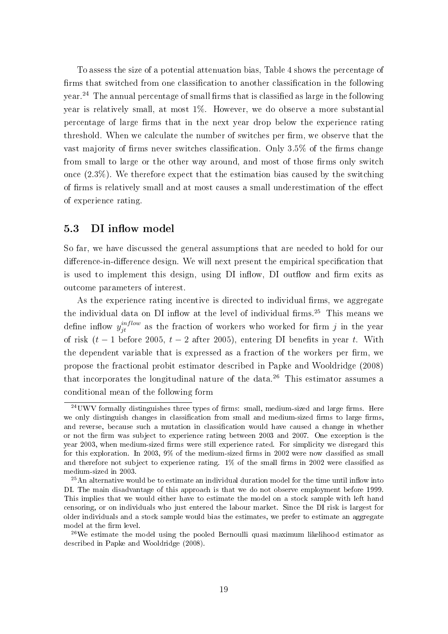To assess the size of a potential attenuation bias, Table 4 shows the percentage of firms that switched from one classification to another classification in the following  $year<sup>24</sup>$  The annual percentage of small firms that is classified as large in the following year is relatively small, at most 1%. However, we do observe a more substantial percentage of large firms that in the next year drop below the experience rating threshold. When we calculate the number of switches per firm, we observe that the vast majority of firms never switches classification. Only  $3.5\%$  of the firms change from small to large or the other way around, and most of those firms only switch once  $(2.3\%)$ . We therefore expect that the estimation bias caused by the switching of firms is relatively small and at most causes a small underestimation of the effect of experience rating.

## 5.3 DI inflow model

So far, we have discussed the general assumptions that are needed to hold for our difference-in-difference design. We will next present the empirical specification that is used to implement this design, using DI inflow, DI outflow and firm exits as outcome parameters of interest.

As the experience rating incentive is directed to individual firms, we aggregate the individual data on DI inflow at the level of individual firms.<sup>25</sup> This means we define inflow  $y_{jt}^{inflow}$  as the fraction of workers who worked for firm j in the year of risk  $(t - 1)$  before 2005,  $t - 2$  after 2005), entering DI benefits in year t. With the dependent variable that is expressed as a fraction of the workers per firm, we propose the fractional probit estimator described in Papke and Wooldridge (2008) that incorporates the longitudinal nature of the data.<sup>26</sup> This estimator assumes a conditional mean of the following form

 $^{24}$ UWV formally distinguishes three types of firms: small, medium-sized and large firms. Here we only distinguish changes in classification from small and medium-sized firms to large firms, and reverse, because such a mutation in classification would have caused a change in whether or not the firm was subject to experience rating between 2003 and 2007. One exception is the year 2003, when medium-sized firms were still experience rated. For simplicity we disregard this for this exploration. In 2003,  $9\%$  of the medium-sized firms in 2002 were now classified as small and therefore not subject to experience rating.  $1\%$  of the small firms in 2002 were classified as medium-sized in 2003.

 $25$ An alternative would be to estimate an individual duration model for the time until inflow into DI. The main disadvantage of this approach is that we do not observe employment before 1999. This implies that we would either have to estimate the model on a stock sample with left hand censoring, or on individuals who just entered the labour market. Since the DI risk is largest for older individuals and a stock sample would bias the estimates, we prefer to estimate an aggregate model at the firm level.

 $^{26}$ We estimate the model using the pooled Bernoulli quasi maximum likelihood estimator as described in Papke and Wooldridge (2008).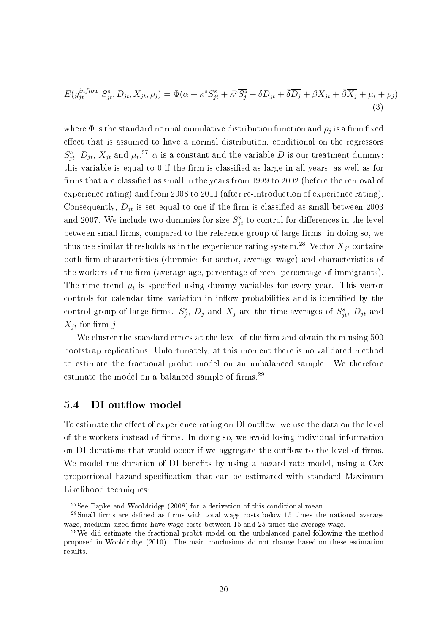$$
E(y_{jt}^{inflow}|S_{jt}^s, D_{jt}, X_{jt}, \rho_j) = \Phi(\alpha + \kappa^s S_{jt}^s + \bar{\kappa}^s \overline{S_j^s} + \delta D_{jt} + \bar{\delta} \overline{D_j} + \beta X_{jt} + \bar{\beta} \overline{X_j} + \mu_t + \rho_j)
$$
\n(3)

where  $\Phi$  is the standard normal cumulative distribution function and  $\rho_j$  is a firm fixed effect that is assumed to have a normal distribution, conditional on the regressors  $S_{jt}^s$ ,  $D_{jt}$ ,  $X_{jt}$  and  $\mu_t$ .<sup>27</sup>  $\alpha$  is a constant and the variable D is our treatment dummy: this variable is equal to  $0$  if the firm is classified as large in all years, as well as for firms that are classified as small in the years from 1999 to 2002 (before the removal of experience rating) and from 2008 to 2011 (after re-introduction of experience rating). Consequently,  $D_{it}$  is set equal to one if the firm is classified as small between 2003 and 2007. We include two dummies for size  $S_{jt}^s$  to control for differences in the level between small firms, compared to the reference group of large firms; in doing so, we thus use similar thresholds as in the experience rating system.<sup>28</sup> Vector  $X_{it}$  contains both firm characteristics (dummies for sector, average wage) and characteristics of the workers of the firm (average age, percentage of men, percentage of immigrants). The time trend  $\mu_t$  is specified using dummy variables for every year. This vector controls for calendar time variation in inflow probabilities and is identified by the control group of large firms.  $\overline{S_j^s}$ ,  $\overline{D_j}$  and  $\overline{X_j}$  are the time-averages of  $S_{jt}^s$ ,  $D_{jt}$  and  $X_{it}$  for firm j.

We cluster the standard errors at the level of the firm and obtain them using 500 bootstrap replications. Unfortunately, at this moment there is no validated method to estimate the fractional probit model on an unbalanced sample. We therefore estimate the model on a balanced sample of  $f_{\text{rms}}^{29}$ .

#### 5.4 DI outflow model

To estimate the effect of experience rating on DI outflow, we use the data on the level of the workers instead of firms. In doing so, we avoid losing individual information on DI durations that would occur if we aggregate the outflow to the level of firms. We model the duration of DI benefits by using a hazard rate model, using a Cox proportional hazard specification that can be estimated with standard Maximum Likelihood techniques:

<sup>&</sup>lt;sup>27</sup>See Papke and Wooldridge  $(2008)$  for a derivation of this conditional mean.

 $28$ Small firms are defined as firms with total wage costs below 15 times the national average wage, medium-sized firms have wage costs between 15 and 25 times the average wage.

 $29$ We did estimate the fractional probit model on the unbalanced panel following the method proposed in Wooldridge (2010). The main conclusions do not change based on these estimation results.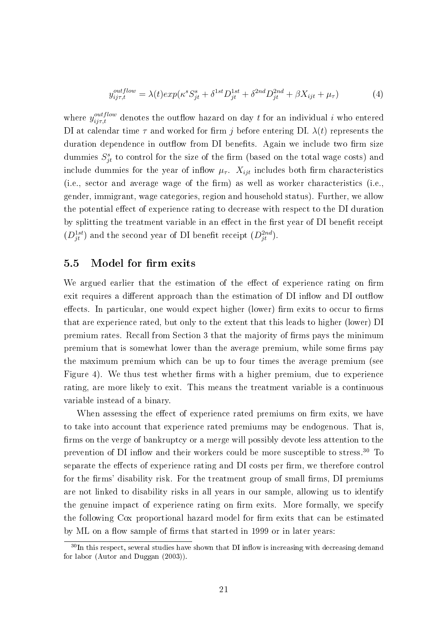$$
y_{ij\tau,t}^{outflow} = \lambda(t)exp(\kappa^s S_{jt}^s + \delta^{1st} D_{jt}^{1st} + \delta^{2nd} D_{jt}^{2nd} + \beta X_{ijt} + \mu_\tau)
$$
(4)

where  $y_{ij\tau,t}^{outflow}$  denotes the outflow hazard on day t for an individual i who entered DI at calendar time  $\tau$  and worked for firm j before entering DI.  $\lambda(t)$  represents the duration dependence in outflow from DI benefits. Again we include two firm size dummies  $S_{jt}^s$  to control for the size of the firm (based on the total wage costs) and include dummies for the year of inflow  $\mu_{\tau}$ .  $X_{ijt}$  includes both firm characteristics  $(i.e., sector and average wage of the firm)$  as well as worker characteristics (i.e. gender, immigrant, wage categories, region and household status). Further, we allow the potential effect of experience rating to decrease with respect to the DI duration by splitting the treatment variable in an effect in the first year of DI benefit receipt  $(D_{jt}^{1st})$  and the second year of DI benefit receipt  $(D_{jt}^{2nd})$ .

#### 5.5 Model for firm exits

We argued earlier that the estimation of the effect of experience rating on firm exit requires a different approach than the estimation of DI inflow and DI outflow effects. In particular, one would expect higher (lower) firm exits to occur to firms that are experience rated, but only to the extent that this leads to higher (lower) DI premium rates. Recall from Section 3 that the majority of firms pays the minimum premium that is somewhat lower than the average premium, while some firms pay the maximum premium which can be up to four times the average premium (see Figure 4). We thus test whether firms with a higher premium, due to experience rating, are more likely to exit. This means the treatment variable is a continuous variable instead of a binary.

When assessing the effect of experience rated premiums on firm exits, we have to take into account that experience rated premiums may be endogenous. That is firms on the verge of bankruptcy or a merge will possibly devote less attention to the prevention of DI inflow and their workers could be more susceptible to stress.<sup>30</sup> To separate the effects of experience rating and DI costs per firm, we therefore control for the firms' disability risk. For the treatment group of small firms, DI premiums are not linked to disability risks in all years in our sample, allowing us to identify the genuine impact of experience rating on firm exits. More formally, we specify the following Cox proportional hazard model for firm exits that can be estimated by ML on a flow sample of firms that started in 1999 or in later years:

 $30$ In this respect, several studies have shown that DI inflow is increasing with decreasing demand for labor (Autor and Duggan (2003)).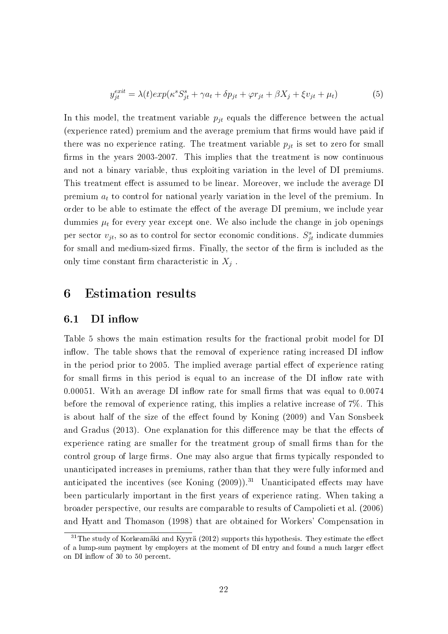$$
y_{jt}^{exit} = \lambda(t)exp(\kappa^s S_{jt}^s + \gamma a_t + \delta p_{jt} + \varphi r_{jt} + \beta X_j + \xi v_{jt} + \mu_t)
$$
(5)

In this model, the treatment variable  $p_{jt}$  equals the difference between the actual (experience rated) premium and the average premium that firms would have paid if there was no experience rating. The treatment variable  $p_{it}$  is set to zero for small firms in the years 2003-2007. This implies that the treatment is now continuous and not a binary variable, thus exploiting variation in the level of DI premiums. This treatment effect is assumed to be linear. Moreover, we include the average DI premium  $a_t$  to control for national yearly variation in the level of the premium. In order to be able to estimate the effect of the average DI premium, we include year dummies  $\mu_t$  for every year except one. We also include the change in job openings per sector  $v_{jt}$ , so as to control for sector economic conditions.  $S_{jt}^s$  indicate dummies for small and medium-sized firms. Finally, the sector of the firm is included as the only time constant firm characteristic in  $X_j$ .

# 6 Estimation results

#### 6.1 DI inflow

Table 5 shows the main estimation results for the fractional probit model for DI inflow. The table shows that the removal of experience rating increased DI inflow in the period prior to 2005. The implied average partial effect of experience rating for small firms in this period is equal to an increase of the DI inflow rate with 0.00051. With an average DI inflow rate for small firms that was equal to  $0.0074$ before the removal of experience rating, this implies a relative increase of 7%. This is about half of the size of the effect found by Koning (2009) and Van Sonsbeek and Gradus (2013). One explanation for this difference may be that the effects of experience rating are smaller for the treatment group of small firms than for the control group of large firms. One may also argue that firms typically responded to unanticipated increases in premiums, rather than that they were fully informed and anticipated the incentives (see Koning  $(2009)$ ).<sup>31</sup> Unanticipated effects may have been particularly important in the first years of experience rating. When taking a broader perspective, our results are comparable to results of Campolieti et al. (2006) and Hyatt and Thomason (1998) that are obtained for Workers' Compensation in

 $31$ The study of Korkeamäki and Kyyrä (2012) supports this hypothesis. They estimate the effect of a lump-sum payment by employers at the moment of DI entry and found a much larger effect on DI inflow of 30 to 50 percent.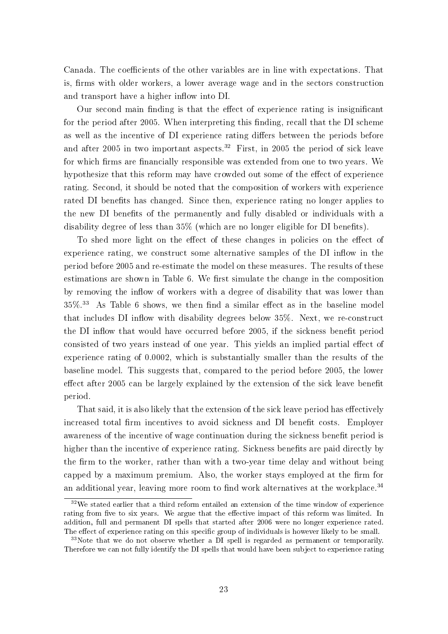Canada. The coefficients of the other variables are in line with expectations. That is, firms with older workers, a lower average wage and in the sectors construction and transport have a higher inflow into DI.

Our second main finding is that the effect of experience rating is insignificant for the period after 2005. When interpreting this finding, recall that the DI scheme as well as the incentive of DI experience rating differs between the periods before and after 2005 in two important aspects.<sup>32</sup> First, in 2005 the period of sick leave for which firms are financially responsible was extended from one to two years. We hypothesize that this reform may have crowded out some of the effect of experience rating. Second, it should be noted that the composition of workers with experience rated DI benefits has changed. Since then, experience rating no longer applies to the new DI benefits of the permanently and fully disabled or individuals with a disability degree of less than  $35\%$  (which are no longer eligible for DI benefits).

To shed more light on the effect of these changes in policies on the effect of experience rating, we construct some alternative samples of the DI inflow in the period before 2005 and re-estimate the model on these measures. The results of these estimations are shown in Table 6. We first simulate the change in the composition by removing the inflow of workers with a degree of disability that was lower than  $35\%$ .<sup>33</sup> As Table 6 shows, we then find a similar effect as in the baseline model that includes DI inflow with disability degrees below  $35\%$ . Next, we re-construct the DI inflow that would have occurred before 2005, if the sickness benefit period consisted of two years instead of one year. This yields an implied partial effect of experience rating of 0.0002, which is substantially smaller than the results of the baseline model. This suggests that, compared to the period before 2005, the lower effect after 2005 can be largely explained by the extension of the sick leave benefit period.

That said, it is also likely that the extension of the sick leave period has effectively increased total firm incentives to avoid sickness and DI benefit costs. Employer awareness of the incentive of wage continuation during the sickness benefit period is higher than the incentive of experience rating. Sickness benefits are paid directly by the firm to the worker, rather than with a two-year time delay and without being capped by a maximum premium. Also, the worker stays employed at the firm for an additional year, leaving more room to find work alternatives at the workplace.<sup>34</sup>

<sup>&</sup>lt;sup>32</sup>We stated earlier that a third reform entailed an extension of the time window of experience rating from five to six years. We argue that the effective impact of this reform was limited. In addition, full and permanent DI spells that started after 2006 were no longer experience rated. The effect of experience rating on this specific group of individuals is however likely to be small.

<sup>&</sup>lt;sup>33</sup>Note that we do not observe whether a DI spell is regarded as permanent or temporarily. Therefore we can not fully identify the DI spells that would have been subject to experience rating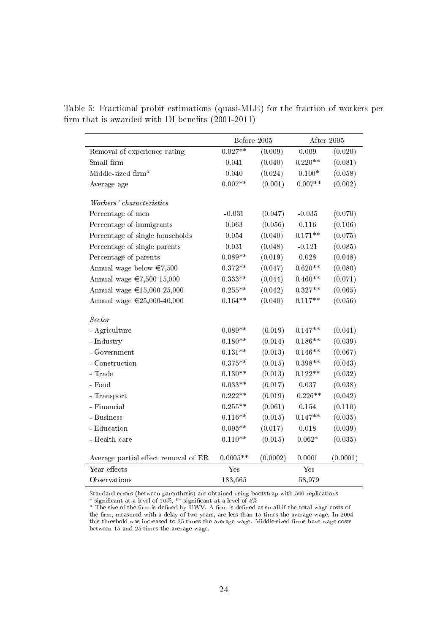|  |  | Table 5: Fractional probit estimations (quasi-MLE) for the fraction of workers per |  |  |
|--|--|------------------------------------------------------------------------------------|--|--|
|  |  | firm that is awarded with DI benefits $(2001-2011)$                                |  |  |

|                                                                                               | Before 2005 |          |           | After 2005 |
|-----------------------------------------------------------------------------------------------|-------------|----------|-----------|------------|
| Removal of experience rating                                                                  | $0.027**$   | (0.009)  | 0.009     | (0.020)    |
| Small firm                                                                                    | 0.041       | (0.040)  | $0.220**$ | (0.081)    |
| Middle-sized firm <sup>a</sup>                                                                | 0.040       | (0.024)  | $0.100*$  | (0.058)    |
| Average age                                                                                   | $0.007**$   | (0.001)  | $0.007**$ | (0.002)    |
|                                                                                               |             |          |           |            |
| Workers' characteristics                                                                      |             |          |           |            |
| Percentage of men                                                                             | $-0.031$    | (0.047)  | $-0.035$  | (0.070)    |
| Percentage of immigrants                                                                      | 0.063       | (0.056)  | 0.116     | (0.106)    |
| Percentage of single households                                                               | 0.054       | (0.040)  | $0.171**$ | (0.075)    |
| Percentage of single parents                                                                  | 0.031       | (0.048)  | $-0.121$  | (0.085)    |
| Percentage of parents                                                                         | $0.089**$   | (0.019)  | 0.028     | (0.048)    |
| Annual wage below $\in 7,500$                                                                 | $0.372**$   | (0.047)  | $0.620**$ | (0.080)    |
| Annual wage €7,500-15,000                                                                     | $0.333**$   | (0.044)  | $0.460**$ | (0.071)    |
| Annual wage €15,000-25,000                                                                    | $0.255**$   | (0.042)  | $0.327**$ | (0.065)    |
| Annual wage €25,000-40,000                                                                    | $0.164**$   | (0.040)  | $0.117**$ | (0.056)    |
| <b>Sector</b>                                                                                 |             |          |           |            |
| - Agriculture                                                                                 | $0.089**$   | (0.019)  | $0.147**$ | (0.041)    |
| - Industry                                                                                    | $0.180**$   | (0.014)  | $0.186**$ | (0.039)    |
| - Government                                                                                  | $0.131**$   | (0.013)  | $0.146**$ | (0.067)    |
| - Construction                                                                                | $0.375**$   | (0.015)  | $0.398**$ | (0.043)    |
| - $\operatorname*{Trade}% \left( \mathcal{A}\right) \equiv\operatorname*{Trace}(\mathcal{A})$ | $0.130**$   | (0.013)  | $0.122**$ | (0.032)    |
| - Food                                                                                        | $0.033**$   | (0.017)  | 0.037     | (0.038)    |
| - $\operatorname{Transport}$                                                                  | $0.222**$   | (0.019)  | $0.226**$ | (0.042)    |
| - Financial                                                                                   | $0.255**$   | (0.061)  | 0.154     | (0.110)    |
| - Business                                                                                    | $0.116**$   | (0.015)  | $0.147**$ | (0.035)    |
| - Education                                                                                   | $0.095**$   | (0.017)  | 0.018     | (0.039)    |
| - Health care                                                                                 | $0.110**$   | (0.015)  | $0.062*$  | (0.035)    |
|                                                                                               |             |          |           |            |
| Average partial effect removal of ER                                                          | $0.0005**$  | (0.0002) | 0.0001    | (0.0001)   |
| Year effects                                                                                  | Yes         |          | Yes       |            |
| Observations                                                                                  | 183,665     |          | 58,979    |            |

Standard errors (between parenthesis) are obtained using bootstrap with 500 replications \* significant at a level of  $10\%,$  \*\* significant at a level of  $5\%$ 

۰

 $^a$  The size of the firm is defined by UWV. A firm is defined as small if the total wage costs of the firm, measured with a delay of two years, are less than 15 times the average wage. In 2004 this threshold was increased to 25 times the average wage. Middle-sized firms have wage costs between 15 and 25 times the average wage.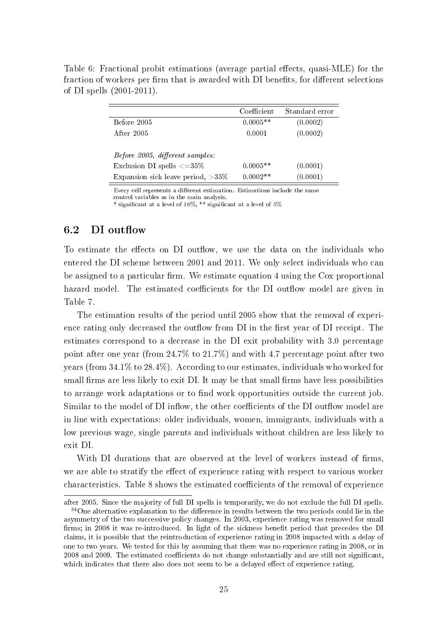Table 6: Fractional probit estimations (average partial effects, quasi-MLE) for the fraction of workers per firm that is awarded with DI benefits, for different selections of DI spells (2001-2011).

|                                      | Coefficient | Standard error |
|--------------------------------------|-------------|----------------|
| Before 2005                          | $0.0005**$  | (0.0002)       |
| After 2005                           | 0.0001      | (0.0002)       |
|                                      |             |                |
| Before 2005, different samples:      |             |                |
| Exclusion DI spells $\langle =35\%$  | $0.0005**$  | (0.0001)       |
| Expansion sick leave period, $>35\%$ | $0.0002**$  | (0.0001)       |

Every cell represents a different estimation. Estimations include the same control variables as in the main analysis.

\* significant at a level of  $10\%$ , \*\* significant at a level of  $5\%$ 

## 6.2 DI outflow

To estimate the effects on DI outflow, we use the data on the individuals who entered the DI scheme between 2001 and 2011. We only select individuals who can be assigned to a particular firm. We estimate equation  $4$  using the Cox proportional hazard model. The estimated coefficients for the DI outflow model are given in Table 7.

The estimation results of the period until 2005 show that the removal of experience rating only decreased the outflow from DI in the first year of DI receipt. The estimates correspond to a decrease in the DI exit probability with 3.0 percentage point after one year (from 24.7% to 21.7%) and with 4.7 percentage point after two years (from 34.1% to 28.4%). According to our estimates, individuals who worked for small firms are less likely to exit DI. It may be that small firms have less possibilities to arrange work adaptations or to find work opportunities outside the current job. Similar to the model of DI inflow, the other coefficients of the DI outflow model are in line with expectations: older individuals, women, immigrants, individuals with a low previous wage, single parents and individuals without children are less likely to exit DI.

With DI durations that are observed at the level of workers instead of firms, we are able to stratify the effect of experience rating with respect to various worker characteristics. Table 8 shows the estimated coefficients of the removal of experience

after 2005. Since the majority of full DI spells is temporarily, we do not exclude the full DI spells.  $34$ One alternative explanation to the difference in results between the two periods could lie in the asymmetry of the two successive policy changes. In 2003, experience rating was removed for small firms; in 2008 it was re-introduced. In light of the sickness benefit period that precedes the DI claims, it is possible that the reintroduction of experience rating in 2008 impacted with a delay of one to two years. We tested for this by assuming that there was no experience rating in 2008, or in 2008 and 2009. The estimated coefficients do not change substantially and are still not significant, which indicates that there also does not seem to be a delayed effect of experience rating.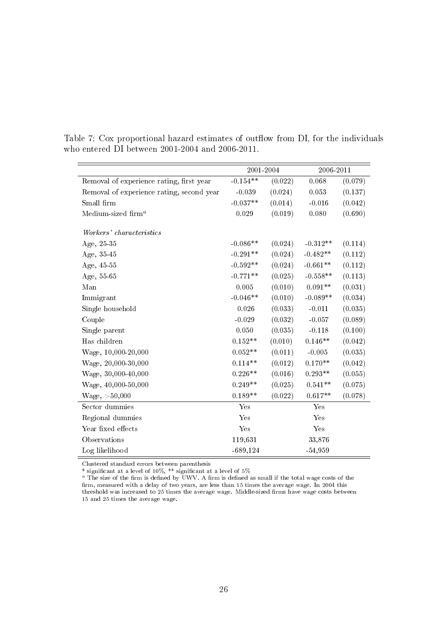|                                           | 2001-2004   |         | 2006-2011  |         |
|-------------------------------------------|-------------|---------|------------|---------|
| Removal of experience rating, first year  | $-0.154**$  | (0.022) | 0.068      | (0.079) |
| Removal of experience rating, second year | $-0.039$    | (0.024) | 0.053      | (0.137) |
| Small firm                                | $-0.037**$  | (0.014) | $-0.016$   | (0.042) |
| Medium-sized $\operatorname{firm}^a$      | 0.029       | (0.019) | 0.080      | (0.690) |
| Workers' characteristics                  |             |         |            |         |
| Age, 25-35                                | $-0.086**$  | (0.024) | $-0.312**$ | (0.114) |
| Age, 35-45                                | $-0.291**$  | (0.024) | $-0.482**$ | (0.112) |
| Age, 45-55                                | $-0.592**$  | (0.024) | $-0.661**$ | (0.112) |
| Age, 55-65                                | $-0.771**$  | (0.025) | $-0.558**$ | (0.113) |
| Man                                       | 0.005       | (0.010) | $0.091**$  | (0.031) |
| Immigrant                                 | $-0.046**$  | (0.010) | $-0.089**$ | (0.034) |
| Single household                          | 0.026       | (0.033) | $-0.011$   | (0.035) |
| Couple                                    | $-0.029$    | (0.032) | $-0.057$   | (0.089) |
| Single parent                             | 0.050       | (0.035) | $-0.118$   | (0.100) |
| Has children                              | $0.152**$   | (0.010) | $0.146**$  | (0.042) |
| Wage, 10,000-20,000                       | $0.052**$   | (0.011) | $-0.005$   | (0.035) |
| Wage, 20,000-30,000                       | $0.114**$   | (0.012) | $0.170**$  | (0.042) |
| Wage, 30,000-40,000                       | $0.226**$   | (0.016) | $0.293**$  | (0.055) |
| Wage, 40,000-50,000                       | $0.249**$   | (0.025) | $0.541**$  | (0.075) |
| Wage, >50,000                             | $0.189**$   | (0.022) | $0.617**$  | (0.078) |
| Sector dummies                            | Yes         |         | Yes        |         |
| Regional dummies                          | Yes         |         | Yes        |         |
| Year fixed effects                        | Yes         |         | Yes        |         |
| Observations                              | 119,631     |         | 33,876     |         |
| Log likelihood                            | $-689, 124$ |         | $-54,959$  |         |

Table 7: Cox proportional hazard estimates of outflow from DI, for the individuals who entered DI between 2001-2004 and 2006-2011.

Clustered standard errors between parenthesis

\* significant at a level of 10%, \*\* significant at a level of 5%

a The size of the firm is defined by UWV. A firm is defined as small if the total wage costs of the firm, measured with a delay of two years, are less than 15 times the average wage. In 2004 this threshold was increased to 25 times the average wage. Middle-sized firms have wage costs between 15 and 25 times the average wage.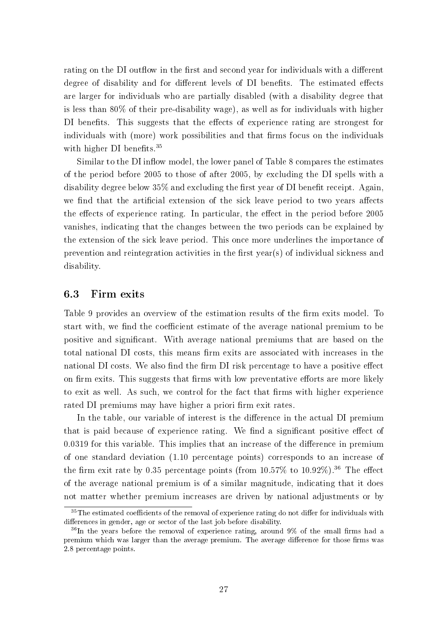rating on the DI outflow in the first and second year for individuals with a different degree of disability and for different levels of DI benefits. The estimated effects are larger for individuals who are partially disabled (with a disability degree that is less than 80% of their pre-disability wage), as well as for individuals with higher DI benefits. This suggests that the effects of experience rating are strongest for individuals with (more) work possibilities and that firms focus on the individuals with higher DI benefits.<sup>35</sup>

Similar to the DI inflow model, the lower panel of Table 8 compares the estimates of the period before 2005 to those of after 2005, by excluding the DI spells with a disability degree below  $35\%$  and excluding the first year of DI benefit receipt. Again, we find that the artificial extension of the sick leave period to two years affects the effects of experience rating. In particular, the effect in the period before 2005 vanishes, indicating that the changes between the two periods can be explained by the extension of the sick leave period. This once more underlines the importance of prevention and reintegration activities in the first year(s) of individual sickness and disability.

#### 6.3 Firm exits

Table 9 provides an overview of the estimation results of the firm exits model. To start with, we find the coefficient estimate of the average national premium to be positive and signicant. With average national premiums that are based on the total national DI costs, this means firm exits are associated with increases in the national DI costs. We also find the firm DI risk percentage to have a positive effect on firm exits. This suggests that firms with low preventative efforts are more likely to exit as well. As such, we control for the fact that firms with higher experience rated DI premiums may have higher a priori firm exit rates.

In the table, our variable of interest is the difference in the actual DI premium that is paid because of experience rating. We find a significant positive effect of  $0.0319$  for this variable. This implies that an increase of the difference in premium of one standard deviation (1.10 percentage points) corresponds to an increase of the firm exit rate by 0.35 percentage points (from  $10.57\%$  to  $10.92\%$ ).<sup>36</sup> The effect of the average national premium is of a similar magnitude, indicating that it does not matter whether premium increases are driven by national adjustments or by

 $35$ The estimated coefficients of the removal of experience rating do not differ for individuals with differences in gender, age or sector of the last job before disability.

 $36$ In the years before the removal of experience rating, around 9% of the small firms had a premium which was larger than the average premium. The average difference for those firms was 2.8 percentage points.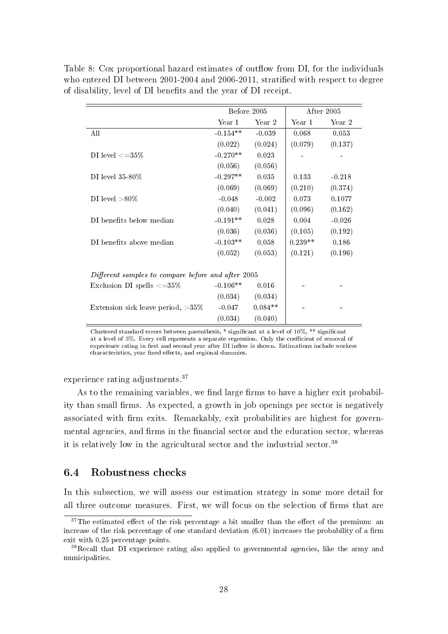Table 8: Cox proportional hazard estimates of outflow from DI, for the individuals who entered DI between 2001-2004 and 2006-2011, stratified with respect to degree of disability, level of DI benets and the year of DI receipt.

|                                                    | Before 2005 |           |           | After 2005 |
|----------------------------------------------------|-------------|-----------|-----------|------------|
|                                                    | Year 1      | Year 2    | Year 1    | Year 2     |
| All                                                | $-0.154**$  | $-0.039$  | 0.068     | 0.053      |
|                                                    | (0.022)     | (0.024)   | (0.079)   | (0.137)    |
| DI level $\langle =35\%$                           | $-0.270**$  | 0.023     |           |            |
|                                                    | (0.056)     | (0.056)   |           |            |
| DI level $35-80\%$                                 | $-0.297**$  | 0.035     | 0.133     | $-0.218$   |
|                                                    | (0.069)     | (0.069)   | (0.210)   | (0.374)    |
| DI level $>80\%$                                   | $-0.048$    | $-0.002$  | 0.073     | 0.1077     |
|                                                    | (0.040)     | (0.041)   | (0.096)   | (0.162)    |
| DI benefits below median                           | $-0.191**$  | 0.028     | 0.004     | $-0.026$   |
|                                                    | (0.036)     | (0.036)   | (0.105)   | (0.192)    |
| DI benefits above median                           | $-0.103**$  | 0.058     | $0.239**$ | 0.186      |
|                                                    | (0.052)     | (0.053)   | (0.121)   | (0.196)    |
| Different samples to compare before and after 2005 |             |           |           |            |
| Exclusion DI spells $\langle =35\%$                | $-0.106**$  | 0.016     |           |            |
|                                                    | (0.034)     | (0.034)   |           |            |
| Extension sick leave period, $>35\%$               | $-0.047$    | $0.084**$ |           |            |
|                                                    | (0.034)     | (0.040)   |           |            |

Clustered standard errors between parenthesis,  $*$  significant at a level of 10%,  $**$  significant at a level of 5%. Every cell represents a separate regression. Only the coefficient of removal of experience rating in first and second year after DI inflow is shown. Estimations include workers characteristics, year fixed effects, and regional dummies.

experience rating adjustments.<sup>37</sup>

As to the remaining variables, we find large firms to have a higher exit probability than small firms. As expected, a growth in job openings per sector is negatively associated with firm exits. Remarkably, exit probabilities are highest for governmental agencies, and firms in the financial sector and the education sector, whereas it is relatively low in the agricultural sector and the industrial sector.<sup>38</sup>

#### 6.4 Robustness checks

In this subsection, we will assess our estimation strategy in some more detail for all three outcome measures. First, we will focus on the selection of firms that are

 $37$ The estimated effect of the risk percentage a bit smaller than the effect of the premium: an increase of the risk percentage of one standard deviation  $(6.01)$  increases the probability of a firm exit with 0.25 percentage points.

<sup>38</sup>Recall that DI experience rating also applied to governmental agencies, like the army and municipalities.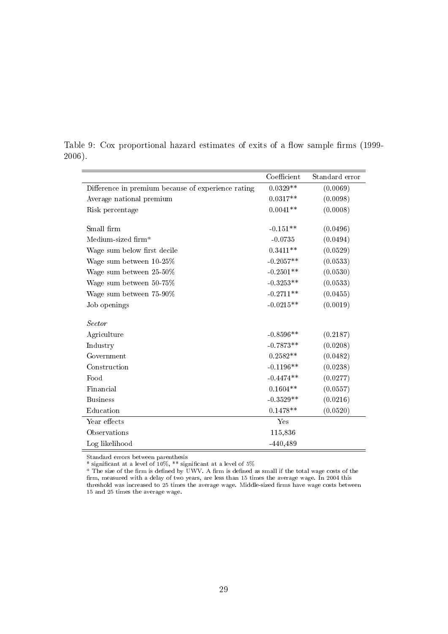|                                                    | Coefficient | Standard error |
|----------------------------------------------------|-------------|----------------|
| Difference in premium because of experience rating | $0.0329**$  | (0.0069)       |
| Average national premium                           | $0.0317**$  | (0.0098)       |
| Risk percentage                                    | $0.0041**$  | (0.0008)       |
|                                                    |             |                |
| Small firm                                         | $-0.151**$  | (0.0496)       |
| Medium-sized firm <sup>a</sup>                     | $-0.0735$   | (0.0494)       |
| Wage sum below first decile                        | $0.3411**$  | (0.0529)       |
| Wage sum between 10-25%                            | $-0.2057**$ | (0.0533)       |
| Wage sum between 25-50%                            | $-0.2501**$ | (0.0530)       |
| Wage sum between 50-75%                            | $-0.3253**$ | (0.0533)       |
| Wage sum between 75-90%                            | $-0.2711**$ | (0.0455)       |
| Job openings                                       | $-0.0215**$ | (0.0019)       |
|                                                    |             |                |
| <b>Sector</b>                                      |             |                |
| Agriculture                                        | $-0.8596**$ | (0.2187)       |
| Industry                                           | $-0.7873**$ | (0.0208)       |
| Government                                         | $0.2582**$  | (0.0482)       |
| Construction                                       | $-0.1196**$ | (0.0238)       |
| Food                                               | $-0.4474**$ | (0.0277)       |
| Financial                                          | $0.1604**$  | (0.0557)       |
| <b>Business</b>                                    | $-0.3529**$ | (0.0216)       |
| Education                                          | $0.1478**$  | (0.0520)       |
| Year effects                                       | Yes         |                |
| Observations                                       | 115,836     |                |
| Log likelihood                                     | $-440,489$  |                |

Table 9: Cox proportional hazard estimates of exits of a flow sample firms (1999-2006).

Standard errors between parenthesis

 $^*$  significant at a level of 10%,  $^{**}$  significant at a level of 5%

a The size of the firm is defined by UWV. A firm is defined as small if the total wage costs of the firm, measured with a delay of two years, are less than 15 times the average wage. In 2004 this threshold was increased to 25 times the average wage. Middle-sized firms have wage costs between 15 and 25 times the average wage.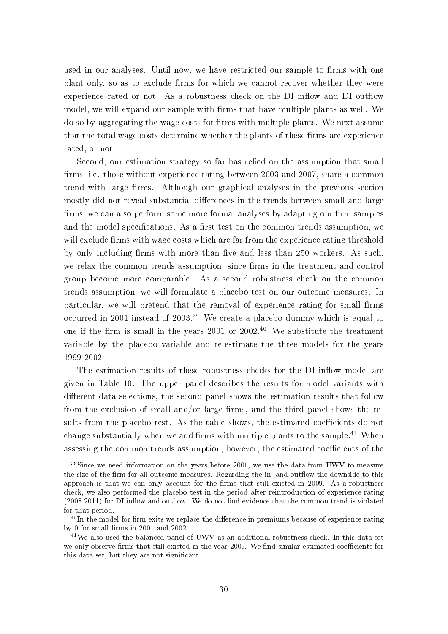used in our analyses. Until now, we have restricted our sample to firms with one plant only, so as to exclude firms for which we cannot recover whether they were experience rated or not. As a robustness check on the DI inflow and DI outflow model, we will expand our sample with firms that have multiple plants as well. We do so by aggregating the wage costs for rms with multiple plants. We next assume that the total wage costs determine whether the plants of these firms are experience rated, or not.

Second, our estimation strategy so far has relied on the assumption that small firms, i.e. those without experience rating between 2003 and 2007, share a common trend with large firms. Although our graphical analyses in the previous section mostly did not reveal substantial differences in the trends between small and large firms, we can also perform some more formal analyses by adapting our firm samples and the model specifications. As a first test on the common trends assumption, we will exclude firms with wage costs which are far from the experience rating threshold by only including firms with more than five and less than 250 workers. As such, we relax the common trends assumption, since firms in the treatment and control group become more comparable. As a second robustness check on the common trends assumption, we will formulate a placebo test on our outcome measures. In particular, we will pretend that the removal of experience rating for small firms occurred in 2001 instead of 2003.<sup>39</sup> We create a placebo dummy which is equal to one if the firm is small in the years 2001 or  $2002^{40}$  We substitute the treatment variable by the placebo variable and re-estimate the three models for the years 1999-2002.

The estimation results of these robustness checks for the DI inflow model are given in Table 10. The upper panel describes the results for model variants with different data selections, the second panel shows the estimation results that follow from the exclusion of small and/or large firms, and the third panel shows the results from the placebo test. As the table shows, the estimated coefficients do not change substantially when we add firms with multiple plants to the sample.<sup>41</sup> When assessing the common trends assumption, however, the estimated coefficients of the

 $39$ Since we need information on the years before 2001, we use the data from UWV to measure the size of the firm for all outcome measures. Regarding the in- and outflow the downside to this approach is that we can only account for the firms that still existed in 2009. As a robustness check, we also performed the placebo test in the period after reintroduction of experience rating  $(2008-2011)$  for DI inflow and outflow. We do not find evidence that the common trend is violated for that period.

 $40$ In the model for firm exits we replace the difference in premiums because of experience rating by 0 for small firms in  $2001$  and  $2002$ .

<sup>41</sup>We also used the balanced panel of UWV as an additional robustness check. In this data set we only observe firms that still existed in the year 2009. We find similar estimated coefficients for this data set, but they are not signicant.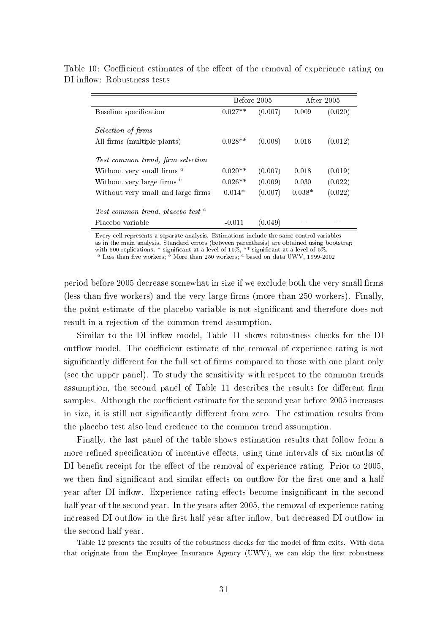|                                                          | Before 2005 |         | After 2005 |         |
|----------------------------------------------------------|-------------|---------|------------|---------|
| Baseline specification                                   | $0.027**$   | (0.007) | 0.009      | (0.020) |
| <i>Selection of firms</i><br>All firms (multiple plants) | $0.028**$   | (0.008) | 0.016      | (0.012) |
| Test common trend, firm selection                        |             |         |            |         |
| Without very small firms $^a$                            | $0.020**$   | (0.007) | 0.018      | (0.019) |
| Without very large firms $^b$                            | $0.026**$   | (0.009) | 0.030      | (0.022) |
| Without very small and large firms                       | $0.014*$    | (0.007) | $0.038*$   | (0.022) |
| Test common trend, placebo test <sup>c</sup>             |             |         |            |         |
| Placebo variable                                         | $-0.011$    | (0.049) |            |         |

Table 10: Coefficient estimates of the effect of the removal of experience rating on DI inflow: Robustness tests

Every cell represents a separate analysis. Estimations include the same control variables as in the main analysis. Standard errors (between parenthesis) are obtained using bootstrap with 500 replications.  $*$  significant at a level of 10%,  $**$  significant at a level of 5%. a Less than five workers;  $\delta$  More than 250 workers;  $\epsilon$  based on data UWV, 1999-2002

period before 2005 decrease somewhat in size if we exclude both the very small firms (less than five workers) and the very large firms (more than  $250$  workers). Finally, the point estimate of the placebo variable is not signicant and therefore does not result in a rejection of the common trend assumption.

Similar to the DI inflow model, Table 11 shows robustness checks for the DI outflow model. The coefficient estimate of the removal of experience rating is not significantly different for the full set of firms compared to those with one plant only (see the upper panel). To study the sensitivity with respect to the common trends assumption, the second panel of Table 11 describes the results for different firm samples. Although the coefficient estimate for the second year before 2005 increases in size, it is still not significantly different from zero. The estimation results from the placebo test also lend credence to the common trend assumption.

Finally, the last panel of the table shows estimation results that follow from a more refined specification of incentive effects, using time intervals of six months of DI benefit receipt for the effect of the removal of experience rating. Prior to 2005, we then find significant and similar effects on outflow for the first one and a half year after DI inflow. Experience rating effects become insignificant in the second half year of the second year. In the years after 2005, the removal of experience rating increased DI outflow in the first half year after inflow, but decreased DI outflow in the second half year.

Table 12 presents the results of the robustness checks for the model of firm exits. With data that originate from the Employee Insurance Agency (UWV), we can skip the first robustness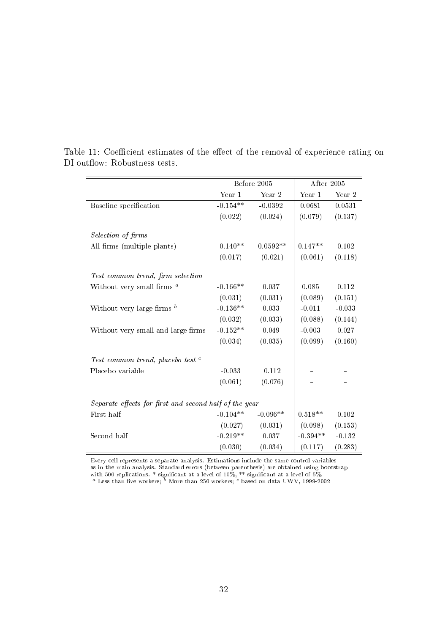|                                                        | Before 2005 |             | After 2005 |          |
|--------------------------------------------------------|-------------|-------------|------------|----------|
|                                                        | Year 1      | Year 2      | Year 1     | Year 2   |
| Baseline specification                                 | $-0.154**$  | $-0.0392$   | 0.0681     | 0.0531   |
|                                                        | (0.022)     | (0.024)     | (0.079)    | (0.137)  |
| Selection of firms                                     |             |             |            |          |
| All firms (multiple plants)                            | $-0.140**$  | $-0.0592**$ | $0.147**$  | 0.102    |
|                                                        | (0.017)     | (0.021)     | (0.061)    | (0.118)  |
| Test common trend, firm selection                      |             |             |            |          |
| Without very small firms $^a$                          | $-0.166**$  | 0.037       | 0.085      | 0.112    |
|                                                        | (0.031)     | (0.031)     | (0.089)    | (0.151)  |
| Without very large firms $^b$                          | $-0.136**$  | 0.033       | $-0.011$   | $-0.033$ |
|                                                        | (0.032)     | (0.033)     | (0.088)    | (0.144)  |
| Without very small and large firms                     | $-0.152**$  | 0.049       | $-0.003$   | 0.027    |
|                                                        | (0.034)     | (0.035)     | (0.099)    | (0.160)  |
| Test common trend, placebo test <sup>c</sup>           |             |             |            |          |
| Placebo variable                                       | $-0.033$    | 0.112       |            |          |
|                                                        | (0.061)     | (0.076)     |            |          |
| Separate effects for first and second half of the year |             |             |            |          |
| First half                                             | $-0.104**$  | $-0.096**$  | $0.518**$  | 0.102    |
|                                                        | (0.027)     | (0.031)     | (0.098)    | (0.153)  |
| Second half                                            | $-0.219**$  | 0.037       | $-0.394**$ | $-0.132$ |
|                                                        | (0.030)     | (0.034)     | (0.117)    | (0.283)  |

Table 11: Coefficient estimates of the effect of the removal of experience rating on DI outflow: Robustness tests.

Every cell represents a separate analysis. Estimations include the same control variables

as in the main analysis. Standard errors (between parenthesis) are obtained using bootstrap

with 500 replications. \* significant at a level of 10%, \*\* significant at a level of 5%.<br><sup>a</sup> Less than five workers; <sup>b</sup> More than 250 workers; <sup>c</sup> based on data UWV, 1999-2002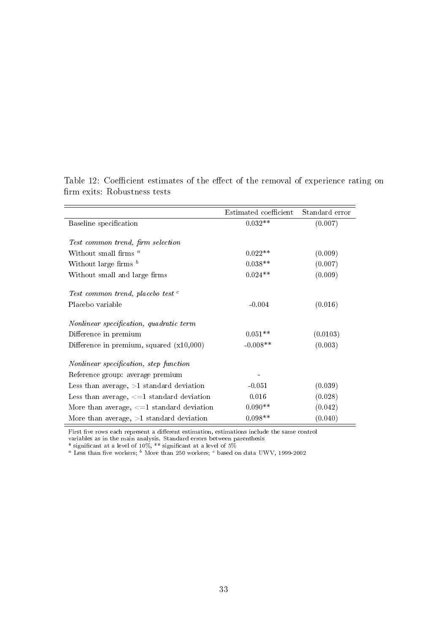|                                                 | Estimated coefficient | Standard error |
|-------------------------------------------------|-----------------------|----------------|
| Baseline specification                          | $0.032**$             | (0.007)        |
|                                                 |                       |                |
| Test common trend, firm selection               |                       |                |
| Without small firms <sup>a</sup>                | $0.022**$             | (0.009)        |
| Without large firms $b$                         | $0.038**$             | (0.007)        |
| Without small and large firms                   | $0.024**$             | (0.009)        |
| Test common trend, placebo test <sup>c</sup>    |                       |                |
| Placebo variable                                | $-0.004$              | (0.016)        |
| Nonlinear specification, quadratic term         |                       |                |
| Difference in premium                           | $0.051**$             | (0.0103)       |
| Difference in premium, squared $(x10,000)$      | $-0.008**$            | (0.003)        |
| Nonlinear specification, step function          |                       |                |
| Reference group: average premium                |                       |                |
| Less than average, $>1$ standard deviation      | $-0.051$              | (0.039)        |
| Less than average, $\leq 1$ standard deviation  | 0.016                 | (0.028)        |
| More than average, $\leq$ =1 standard deviation | $0.090**$             | (0.042)        |
| More than average, $>1$ standard deviation      | $0.098**$             | (0.040)        |

Table 12: Coefficient estimates of the effect of the removal of experience rating on firm exits: Robustness tests

First five rows each represent a different estimation, estimations include the same control

variables as in the main analysis. Standard errors between parenthesis

 $\equiv$ 

\* significant at a level of 10%, \*\* significant at a level of 5%<br>" Less than five workers; <sup>b</sup> More than 250 workers; <sup>c</sup> based on data UWV, 1999-2002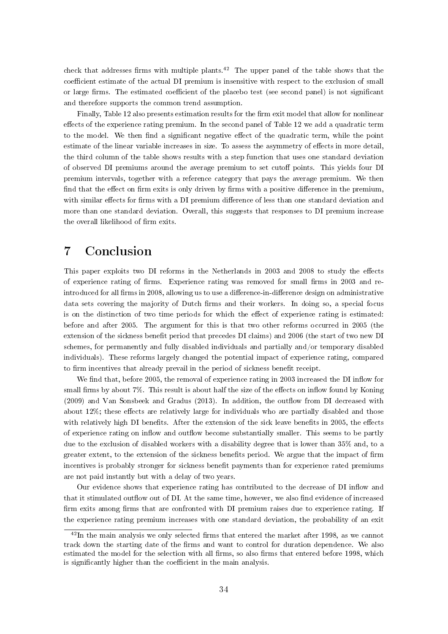check that addresses firms with multiple plants.<sup>42</sup> The upper panel of the table shows that the coefficient estimate of the actual DI premium is insensitive with respect to the exclusion of small or large firms. The estimated coefficient of the placebo test (see second panel) is not significant and therefore supports the common trend assumption.

Finally, Table 12 also presents estimation results for the firm exit model that allow for nonlinear effects of the experience rating premium. In the second panel of Table 12 we add a quadratic term to the model. We then find a significant negative effect of the quadratic term, while the point estimate of the linear variable increases in size. To assess the asymmetry of effects in more detail, the third column of the table shows results with a step function that uses one standard deviation of observed DI premiums around the average premium to set cutoff points. This yields four DI premium intervals, together with a reference category that pays the average premium. We then find that the effect on firm exits is only driven by firms with a positive difference in the premium, with similar effects for firms with a DI premium difference of less than one standard deviation and more than one standard deviation. Overall, this suggests that responses to DI premium increase the overall likelihood of firm exits.

# 7 Conclusion

This paper exploits two DI reforms in the Netherlands in 2003 and 2008 to study the effects of experience rating of firms. Experience rating was removed for small firms in 2003 and reintroduced for all firms in 2008, allowing us to use a difference-in-difference design on administrative data sets covering the majority of Dutch firms and their workers. In doing so, a special focus is on the distinction of two time periods for which the effect of experience rating is estimated: before and after 2005. The argument for this is that two other reforms occurred in 2005 (the extension of the sickness benefit period that precedes DI claims) and 2006 (the start of two new DI schemes, for permanently and fully disabled individuals and partially and/or temporary disabled individuals). These reforms largely changed the potential impact of experience rating, compared to firm incentives that already prevail in the period of sickness benefit receipt.

We find that, before 2005, the removal of experience rating in 2003 increased the DI inflow for small firms by about  $7\%$ . This result is about half the size of the effects on inflow found by Koning  $(2009)$  and Van Sonsbeek and Gradus  $(2013)$ . In addition, the outflow from DI decreased with about  $12\%$ ; these effects are relatively large for individuals who are partially disabled and those with relatively high DI benefits. After the extension of the sick leave benefits in 2005, the effects of experience rating on inflow and outflow become substantially smaller. This seems to be partly due to the exclusion of disabled workers with a disability degree that is lower than 35% and, to a greater extent, to the extension of the sickness benefits period. We argue that the impact of firm incentives is probably stronger for sickness benefit payments than for experience rated premiums are not paid instantly but with a delay of two years.

Our evidence shows that experience rating has contributed to the decrease of DI inflow and that it stimulated outflow out of DI. At the same time, however, we also find evidence of increased firm exits among firms that are confronted with DI premium raises due to experience rating. If the experience rating premium increases with one standard deviation, the probability of an exit

 $42$ In the main analysis we only selected firms that entered the market after 1998, as we cannot track down the starting date of the firms and want to control for duration dependence. We also estimated the model for the selection with all firms, so also firms that entered before 1998, which is significantly higher than the coefficient in the main analysis.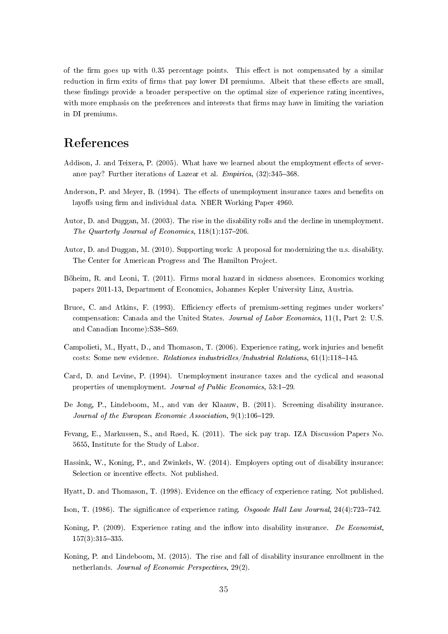of the firm goes up with  $0.35$  percentage points. This effect is not compensated by a similar reduction in firm exits of firms that pay lower DI premiums. Albeit that these effects are small, these findings provide a broader perspective on the optimal size of experience rating incentives, with more emphasis on the preferences and interests that firms may have in limiting the variation in DI premiums.

# References

- Addison, J. and Teixera, P. (2005). What have we learned about the employment effects of severance pay? Further iterations of Lazear et al.  $Empirica$ ,  $(32):345-368$ .
- Anderson, P. and Meyer, B. (1994). The effects of unemployment insurance taxes and benefits on layoffs using firm and individual data. NBER Working Paper 4960.
- Autor, D. and Duggan, M. (2003). The rise in the disability rolls and the decline in unemployment. The Quarterly Journal of Economics,  $118(1)$ :157-206.
- Autor, D. and Duggan, M. (2010). Supporting work: A proposal for modernizing the u.s. disability. The Center for American Progress and The Hamilton Project.
- Böheim, R. and Leoni, T. (2011). Firms moral hazard in sickness absences. Economics working papers 2011-13, Department of Economics, Johannes Kepler University Linz, Austria.
- Bruce, C. and Atkins, F. (1993). Efficiency effects of premium-setting regimes under workers' compensation: Canada and the United States. Journal of Labor Economics, 11(1, Part 2: U.S. and Canadian Income): S38-S69.
- Campolieti, M., Hyatt, D., and Thomason, T. (2006). Experience rating, work injuries and benefit costs: Some new evidence. Relationes industrielles/Industrial Relations,  $61(1):118-145$ .
- Card, D. and Levine, P. (1994). Unemployment insurance taxes and the cyclical and seasonal properties of unemployment. Journal of Public Economics, 53:1-29.
- De Jong, P., Lindeboom, M., and van der Klaauw, B. (2011). Screening disability insurance. Journal of the European Economic Association,  $9(1)$ :106-129.
- Fevang, E., Markussen, S., and Røed, K. (2011). The sick pay trap. IZA Discussion Papers No. 5655, Institute for the Study of Labor.
- Hassink, W., Koning, P., and Zwinkels, W. (2014). Employers opting out of disability insurance: Selection or incentive effects. Not published.
- Hyatt, D. and Thomason, T. (1998). Evidence on the efficacy of experience rating. Not published.
- Ison, T. (1986). The significance of experience rating. Osgoode Hall Law Journal,  $24(4)$ :723-742.
- Koning, P. (2009). Experience rating and the inflow into disability insurance. De Economist,  $157(3)$ :  $315-335$ .
- Koning, P. and Lindeboom, M. (2015). The rise and fall of disability insurance enrollment in the netherlands. Journal of Economic Perspectives, 29(2).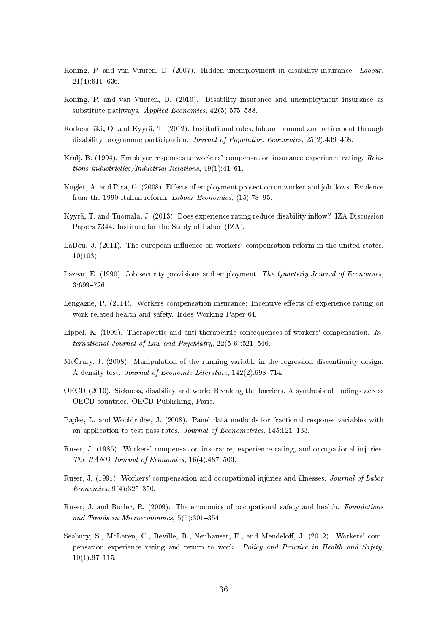- Koning, P. and van Vuuren, D. (2007). Hidden unemployment in disability insurance. Labour,  $21(4):611-636.$
- Koning, P. and van Vuuren, D. (2010). Disability insurance and unemployment insurance as substitute pathways. Applied Economics,  $42(5):575-588$ .
- Korkeamäki, O. and Kyyrä, T. (2012). Institutional rules, labour demand and retirement through disability programme participation. Journal of Population Economics,  $25(2):439-468$ .
- Kralj, B. (1994). Employer responses to workers' compensation insurance experience rating. Relations industrielles/Industrial Relations,  $49(1)$ :  $41-61$ .
- Kugler, A. and Pica, G. (2008). Effects of employment protection on worker and job flows: Evidence from the 1990 Italian reform. Labour Economics,  $(15)$ :78-95.
- Kyyrä, T. and Tuomala, J. (2013). Does experience rating reduce disability inflow? IZA Discussion Papers 7344, Institute for the Study of Labor (IZA).
- LaDou, J. (2011). The european influence on workers' compensation reform in the united states. 10(103).
- Lazear, E. (1990). Job security provisions and employment. The Quarterly Journal of Economics, 3:699726.
- Lengagne, P. (2014). Workers compensation insurance: Incentive effects of experience rating on work-related health and safety. Irdes Working Paper 64.
- Lippel, K. (1999). Therapeutic and anti-therapeutic consequences of workers' compensation. International Journal of Law and Psychiatry,  $22(5-6):521-546$ .
- McCrary, J. (2008). Manipulation of the running variable in the regression discontinuity design: A density test. Journal of Economic Literature,  $142(2)$ :698-714.
- OECD (2010). Sickness, disability and work: Breaking the barriers. A synthesis of findings across OECD countries. OECD Publishing, Paris.
- Papke, L. and Wooldridge, J. (2008). Panel data methods for fractional response variables with an application to test pass rates. Journal of Econometrics,  $145:121-133$ .
- Ruser, J. (1985). Workers' compensation insurance, experience-rating, and occupational injuries. The RAND Journal of Economics,  $16(4):487-503$ .
- Ruser, J. (1991). Workers' compensation and occupational injuries and illnesses. Journal of Labor  $Economics, 9(4):325-350.$
- Ruser, J. and Butler, R. (2009). The economics of occupational safety and health. Foundations and Trends in Microeconomics,  $5(5):301-354$ .
- Seabury, S., McLaren, C., Reville, R., Neuhauser, F., and Mendeloff, J. (2012). Workers' compensation experience rating and return to work. Policy and Practice in Health and Safety,  $10(1):97-115.$